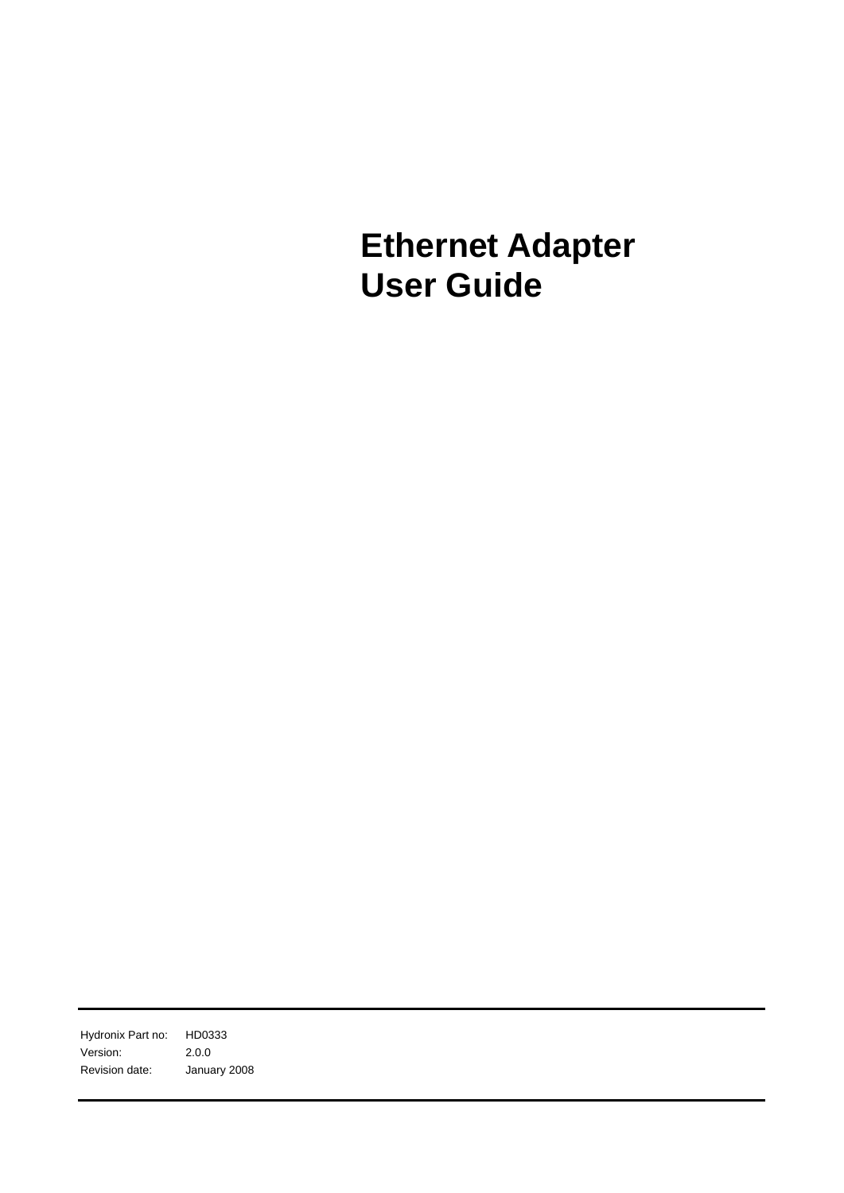**Ethernet Adapter User Guide** 

Hydronix Part no: HD0333 Version: 2.0.0 Revision date: January 2008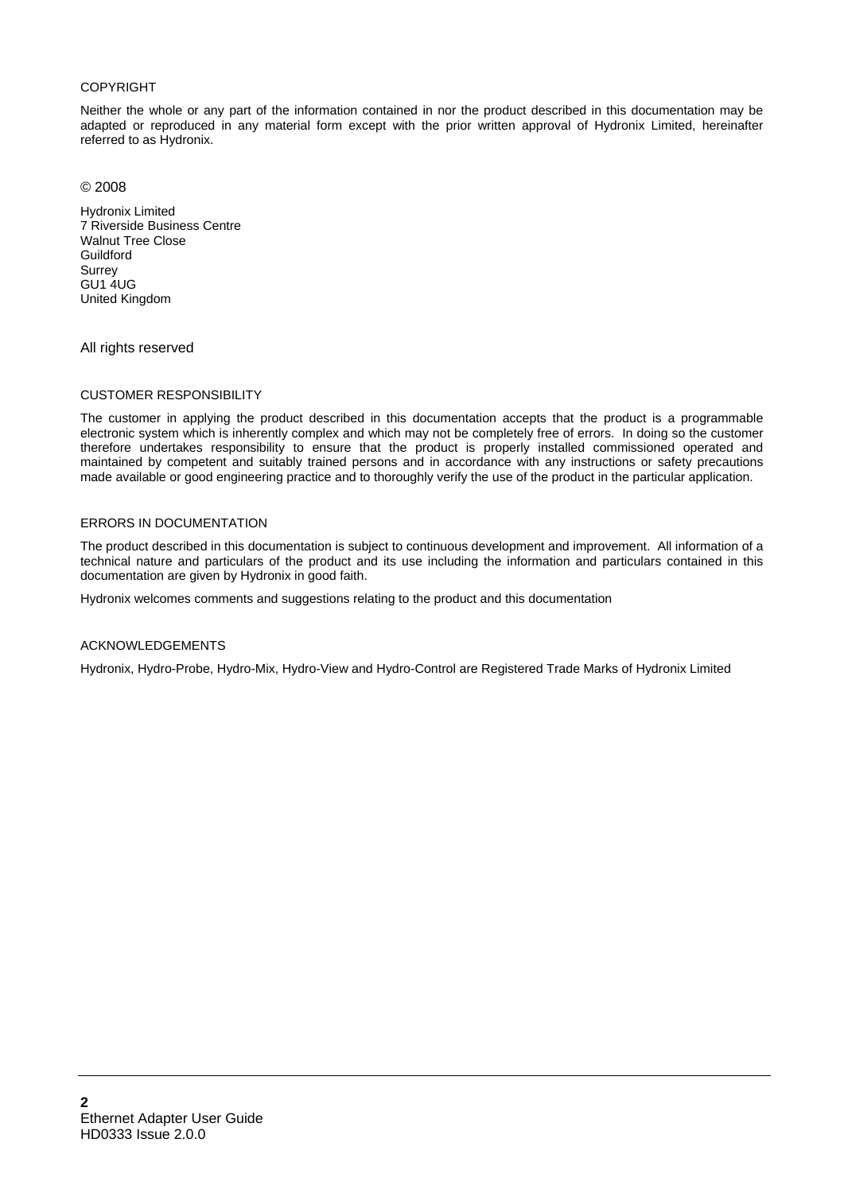#### COPYRIGHT

Neither the whole or any part of the information contained in nor the product described in this documentation may be adapted or reproduced in any material form except with the prior written approval of Hydronix Limited, hereinafter referred to as Hydronix.

© 2008

Hydronix Limited 7 Riverside Business Centre Walnut Tree Close **Guildford** Surrey GU1 4UG United Kingdom

All rights reserved

#### CUSTOMER RESPONSIBILITY

The customer in applying the product described in this documentation accepts that the product is a programmable electronic system which is inherently complex and which may not be completely free of errors. In doing so the customer therefore undertakes responsibility to ensure that the product is properly installed commissioned operated and maintained by competent and suitably trained persons and in accordance with any instructions or safety precautions made available or good engineering practice and to thoroughly verify the use of the product in the particular application.

#### ERRORS IN DOCUMENTATION

The product described in this documentation is subject to continuous development and improvement. All information of a technical nature and particulars of the product and its use including the information and particulars contained in this documentation are given by Hydronix in good faith.

Hydronix welcomes comments and suggestions relating to the product and this documentation

#### ACKNOWLEDGEMENTS

Hydronix, Hydro-Probe, Hydro-Mix, Hydro-View and Hydro-Control are Registered Trade Marks of Hydronix Limited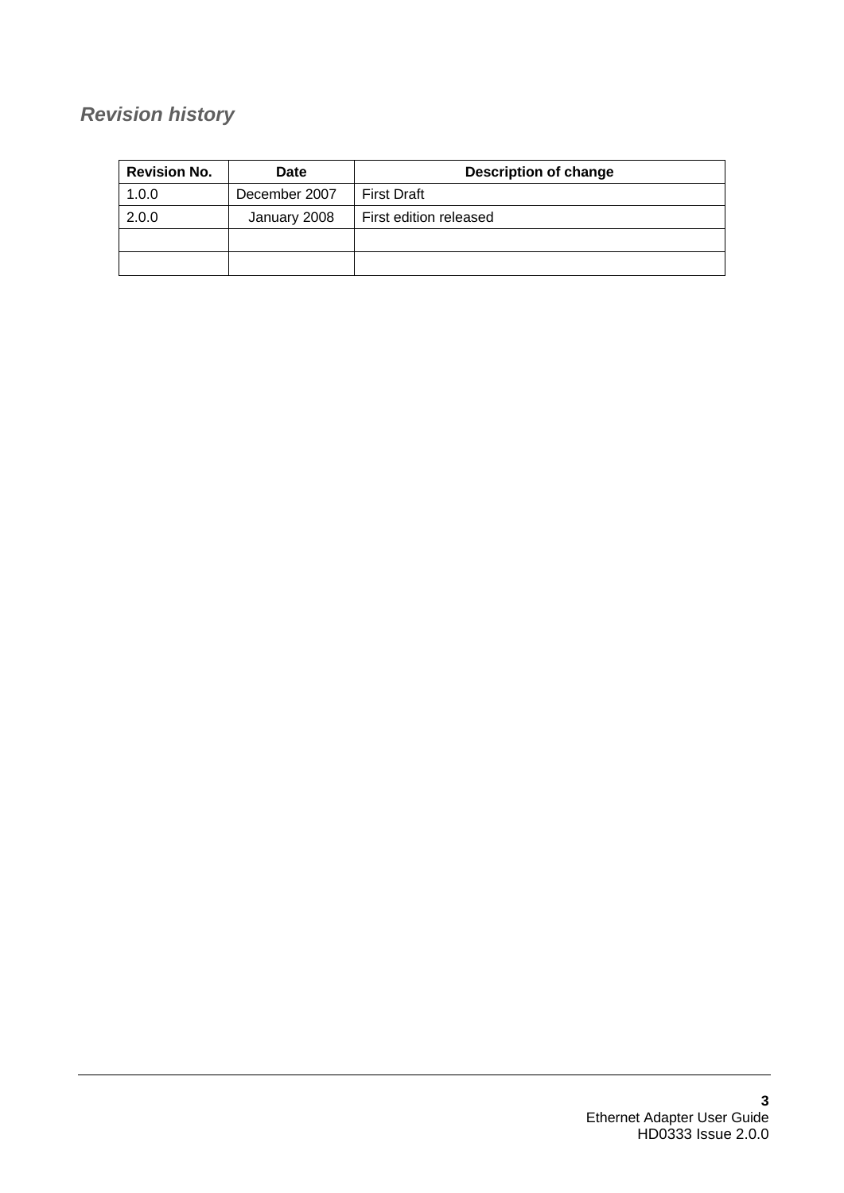# *Revision history*

| <b>Revision No.</b><br><b>Date</b> |               | <b>Description of change</b> |  |
|------------------------------------|---------------|------------------------------|--|
| 1.0.0                              | December 2007 | <b>First Draft</b>           |  |
| 2.0.0                              | January 2008  | First edition released       |  |
|                                    |               |                              |  |
|                                    |               |                              |  |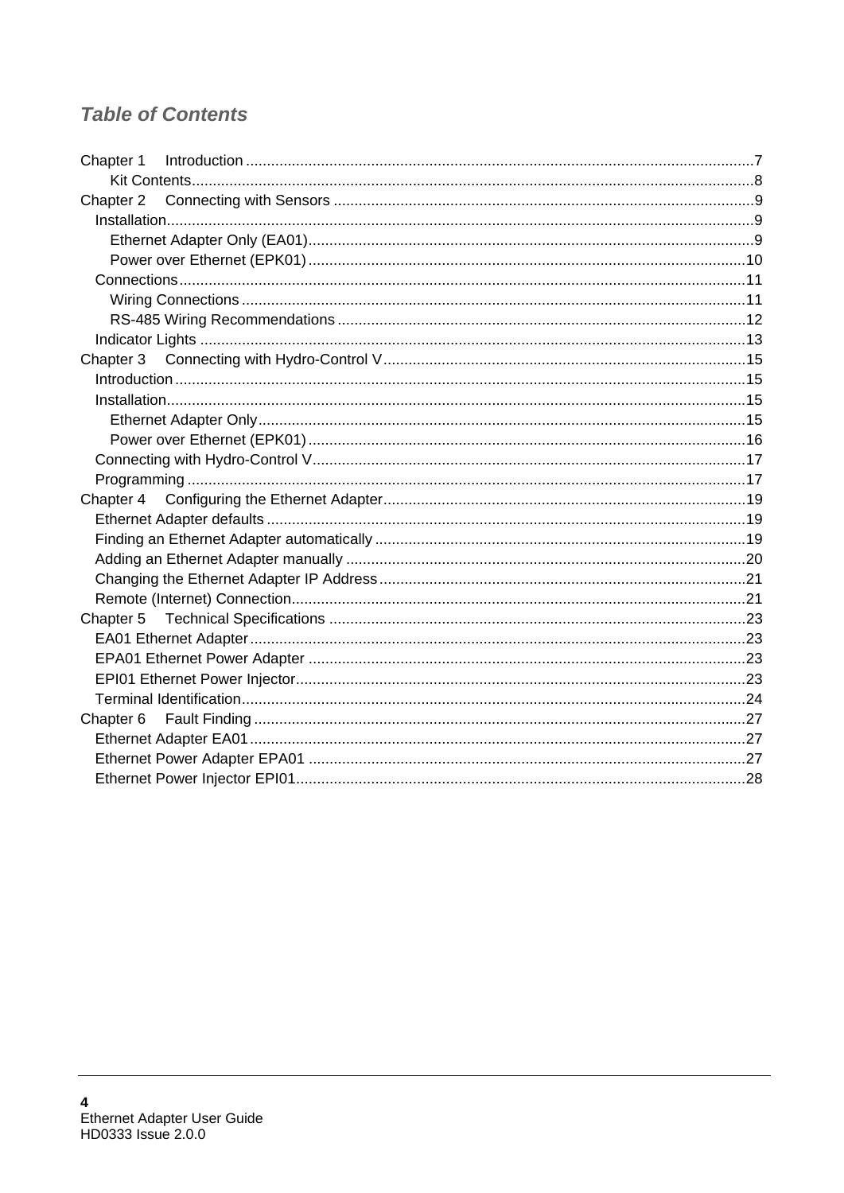# **Table of Contents**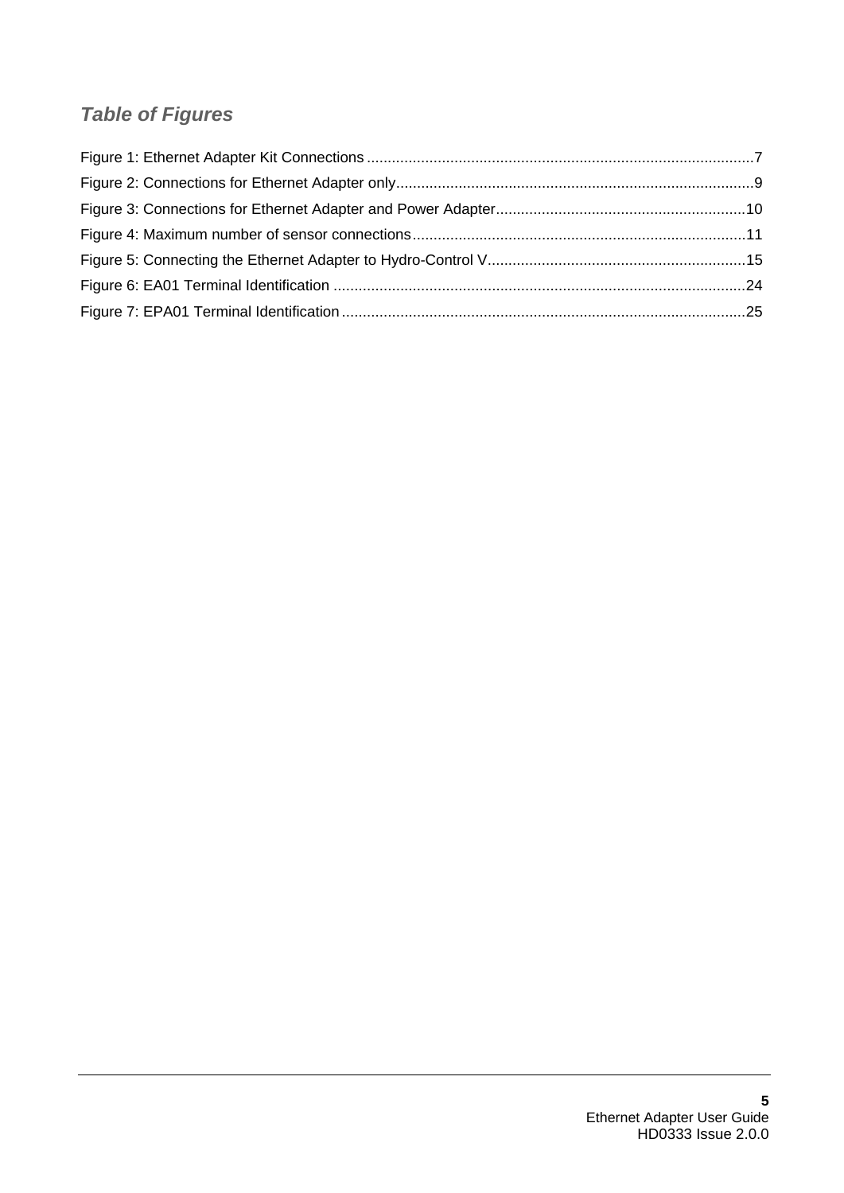# *Table of Figures*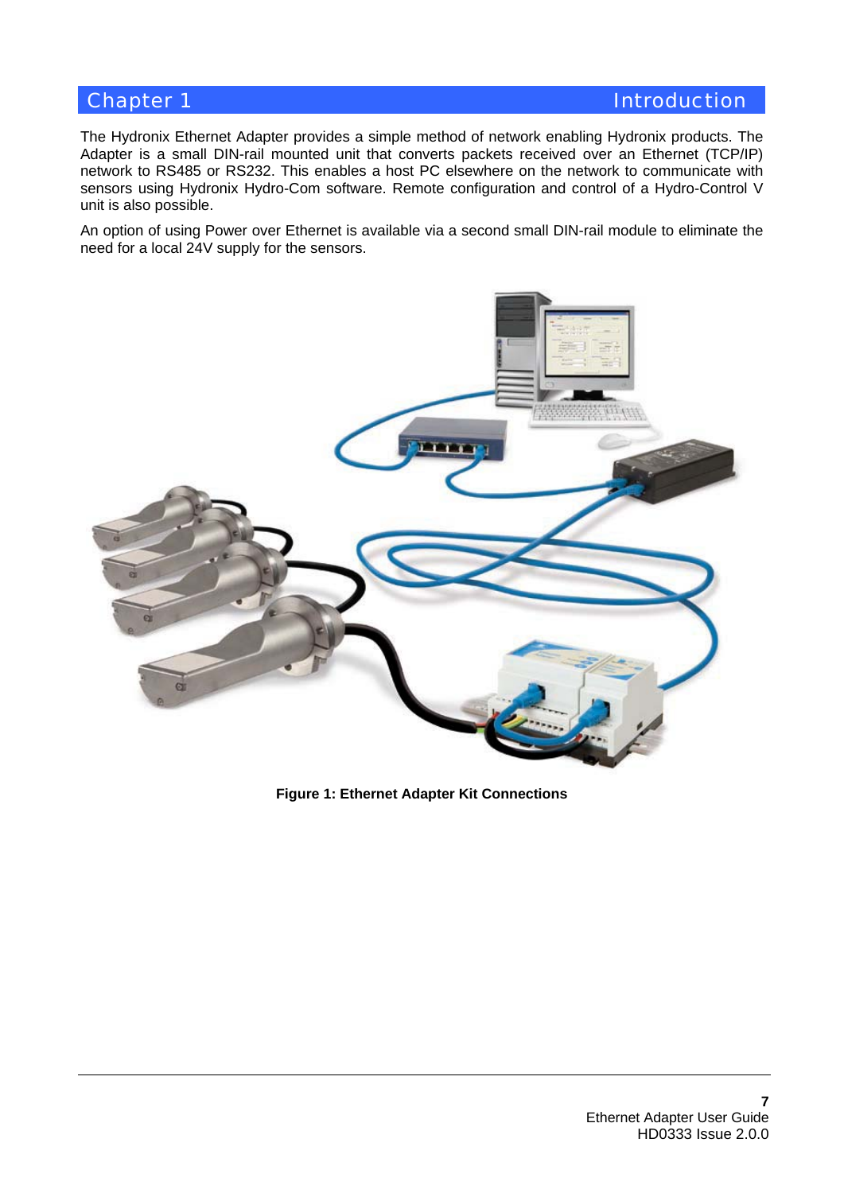## **Chapter 1 Introduction**

The Hydronix Ethernet Adapter provides a simple method of network enabling Hydronix products. The Adapter is a small DIN-rail mounted unit that converts packets received over an Ethernet (TCP/IP) network to RS485 or RS232. This enables a host PC elsewhere on the network to communicate with sensors using Hydronix Hydro-Com software. Remote configuration and control of a Hydro-Control V unit is also possible.

An option of using Power over Ethernet is available via a second small DIN-rail module to eliminate the need for a local 24V supply for the sensors.



**Figure 1: Ethernet Adapter Kit Connections**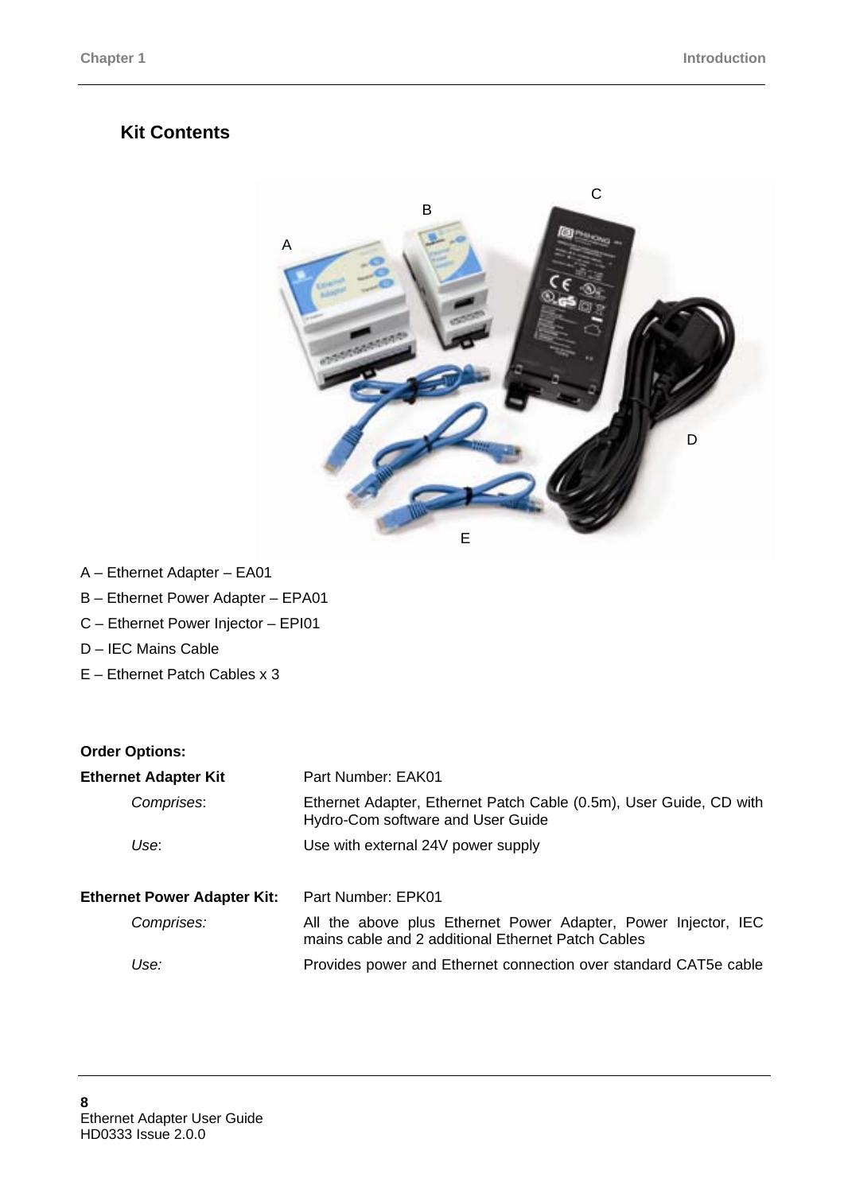## **Kit Contents**



- A Ethernet Adapter EA01
- B Ethernet Power Adapter EPA01
- C Ethernet Power Injector EPI01
- D IEC Mains Cable
- E Ethernet Patch Cables x 3

#### **Order Options:**

| <b>Ethernet Adapter Kit</b>        | Part Number: EAK01                                                                                                   |  |  |
|------------------------------------|----------------------------------------------------------------------------------------------------------------------|--|--|
| Comprises:                         | Ethernet Adapter, Ethernet Patch Cable (0.5m), User Guide, CD with<br>Hydro-Com software and User Guide              |  |  |
| Use:                               | Use with external 24V power supply                                                                                   |  |  |
| <b>Ethernet Power Adapter Kit:</b> | Part Number: EPK01                                                                                                   |  |  |
| Comprises:                         | All the above plus Ethernet Power Adapter, Power Injector, IEC<br>mains cable and 2 additional Ethernet Patch Cables |  |  |
| Use:                               | Provides power and Ethernet connection over standard CAT5e cable                                                     |  |  |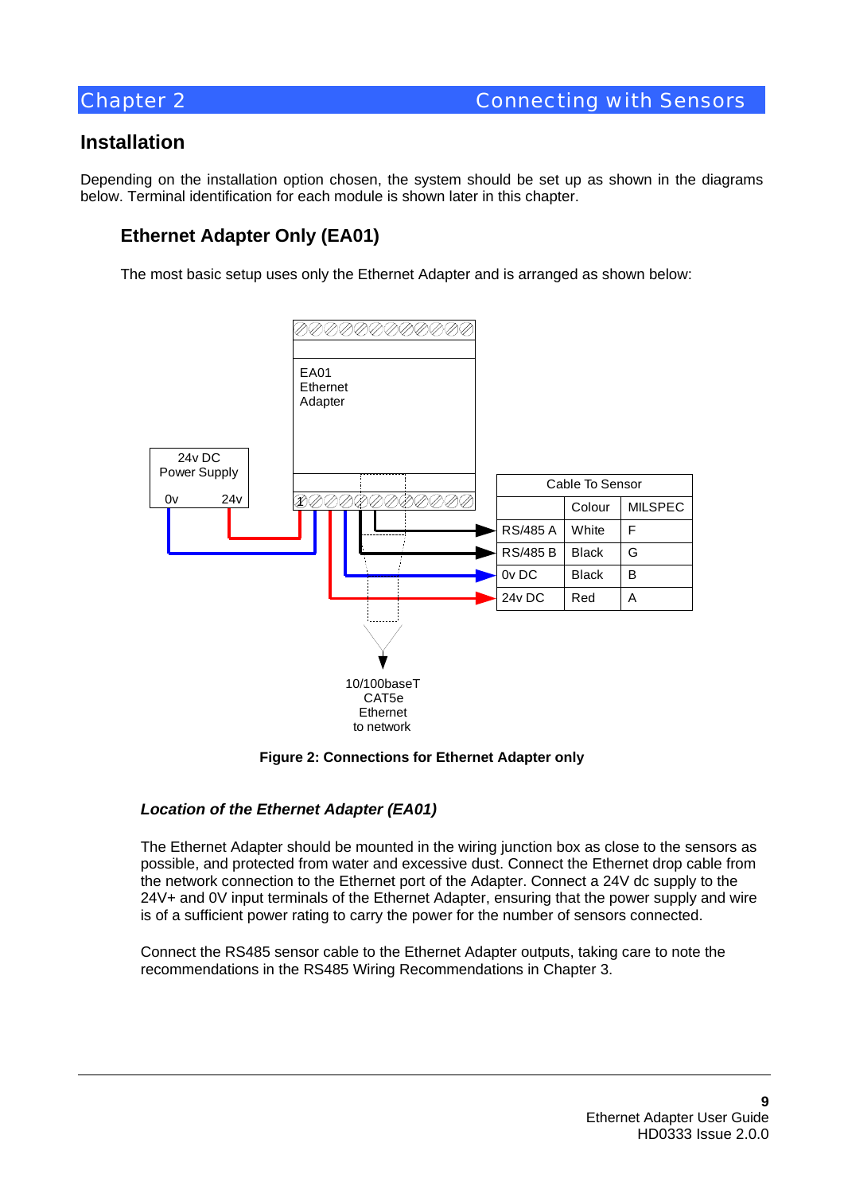## **Installation**

Depending on the installation option chosen, the system should be set up as shown in the diagrams below. Terminal identification for each module is shown later in this chapter.

## **Ethernet Adapter Only (EA01)**

The most basic setup uses only the Ethernet Adapter and is arranged as shown below:



**Figure 2: Connections for Ethernet Adapter only** 

## *Location of the Ethernet Adapter (EA01)*

The Ethernet Adapter should be mounted in the wiring junction box as close to the sensors as possible, and protected from water and excessive dust. Connect the Ethernet drop cable from the network connection to the Ethernet port of the Adapter. Connect a 24V dc supply to the 24V+ and 0V input terminals of the Ethernet Adapter, ensuring that the power supply and wire is of a sufficient power rating to carry the power for the number of sensors connected.

Connect the RS485 sensor cable to the Ethernet Adapter outputs, taking care to note the recommendations in the RS485 Wiring Recommendations in Chapter 3.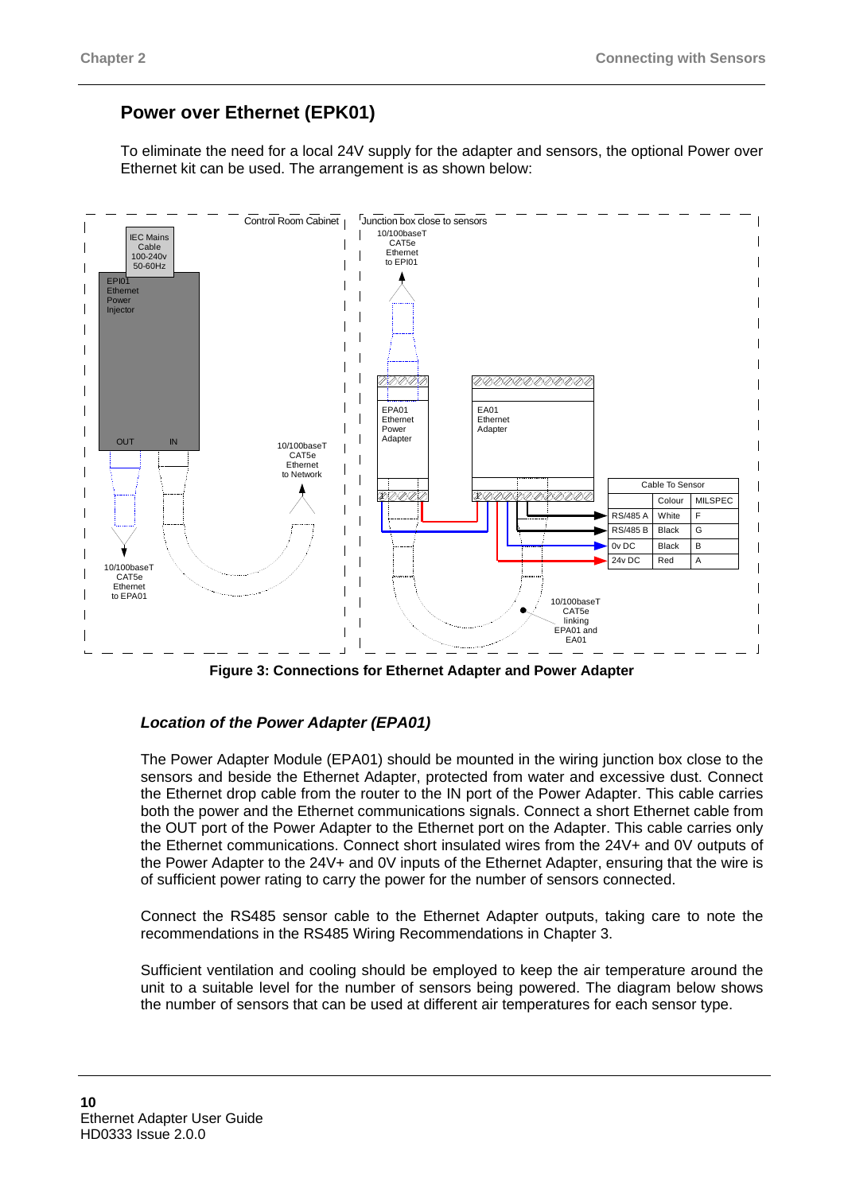## **Power over Ethernet (EPK01)**

To eliminate the need for a local 24V supply for the adapter and sensors, the optional Power over Ethernet kit can be used. The arrangement is as shown below:



**Figure 3: Connections for Ethernet Adapter and Power Adapter** 

#### *Location of the Power Adapter (EPA01)*

The Power Adapter Module (EPA01) should be mounted in the wiring junction box close to the sensors and beside the Ethernet Adapter, protected from water and excessive dust. Connect the Ethernet drop cable from the router to the IN port of the Power Adapter. This cable carries both the power and the Ethernet communications signals. Connect a short Ethernet cable from the OUT port of the Power Adapter to the Ethernet port on the Adapter. This cable carries only the Ethernet communications. Connect short insulated wires from the 24V+ and 0V outputs of the Power Adapter to the 24V+ and 0V inputs of the Ethernet Adapter, ensuring that the wire is of sufficient power rating to carry the power for the number of sensors connected.

Connect the RS485 sensor cable to the Ethernet Adapter outputs, taking care to note the recommendations in the RS485 Wiring Recommendations in Chapter 3.

Sufficient ventilation and cooling should be employed to keep the air temperature around the unit to a suitable level for the number of sensors being powered. The diagram below shows the number of sensors that can be used at different air temperatures for each sensor type.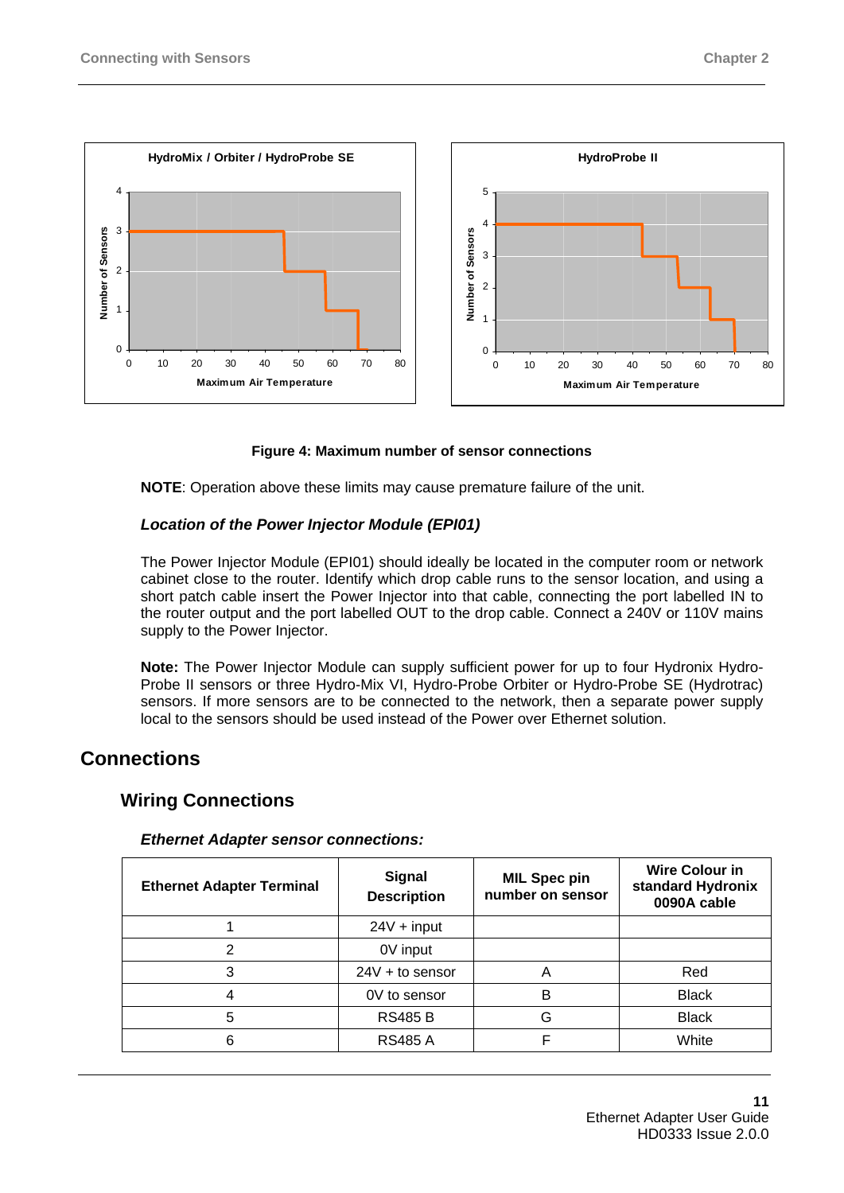



#### **Figure 4: Maximum number of sensor connections**

**NOTE**: Operation above these limits may cause premature failure of the unit.

#### *Location of the Power Injector Module (EPI01)*

The Power Injector Module (EPI01) should ideally be located in the computer room or network cabinet close to the router. Identify which drop cable runs to the sensor location, and using a short patch cable insert the Power Injector into that cable, connecting the port labelled IN to the router output and the port labelled OUT to the drop cable. Connect a 240V or 110V mains supply to the Power Injector.

**Note:** The Power Injector Module can supply sufficient power for up to four Hydronix Hydro-Probe II sensors or three Hydro-Mix VI, Hydro-Probe Orbiter or Hydro-Probe SE (Hydrotrac) sensors. If more sensors are to be connected to the network, then a separate power supply local to the sensors should be used instead of the Power over Ethernet solution.

## **Connections**

## **Wiring Connections**

| <b>Ethernet Adapter Terminal</b> | <b>Signal</b><br><b>Description</b> | <b>MIL Spec pin</b><br>number on sensor | <b>Wire Colour in</b><br>standard Hydronix<br>0090A cable |
|----------------------------------|-------------------------------------|-----------------------------------------|-----------------------------------------------------------|
|                                  | $24V + input$                       |                                         |                                                           |
| 2                                | 0V input                            |                                         |                                                           |
| 3                                | $24V + to$ sensor                   | А                                       | Red                                                       |
| 4                                | 0V to sensor                        | B                                       | <b>Black</b>                                              |
| 5                                | <b>RS485 B</b>                      | G                                       | <b>Black</b>                                              |
| 6                                | <b>RS485 A</b>                      |                                         | White                                                     |

#### *Ethernet Adapter sensor connections:*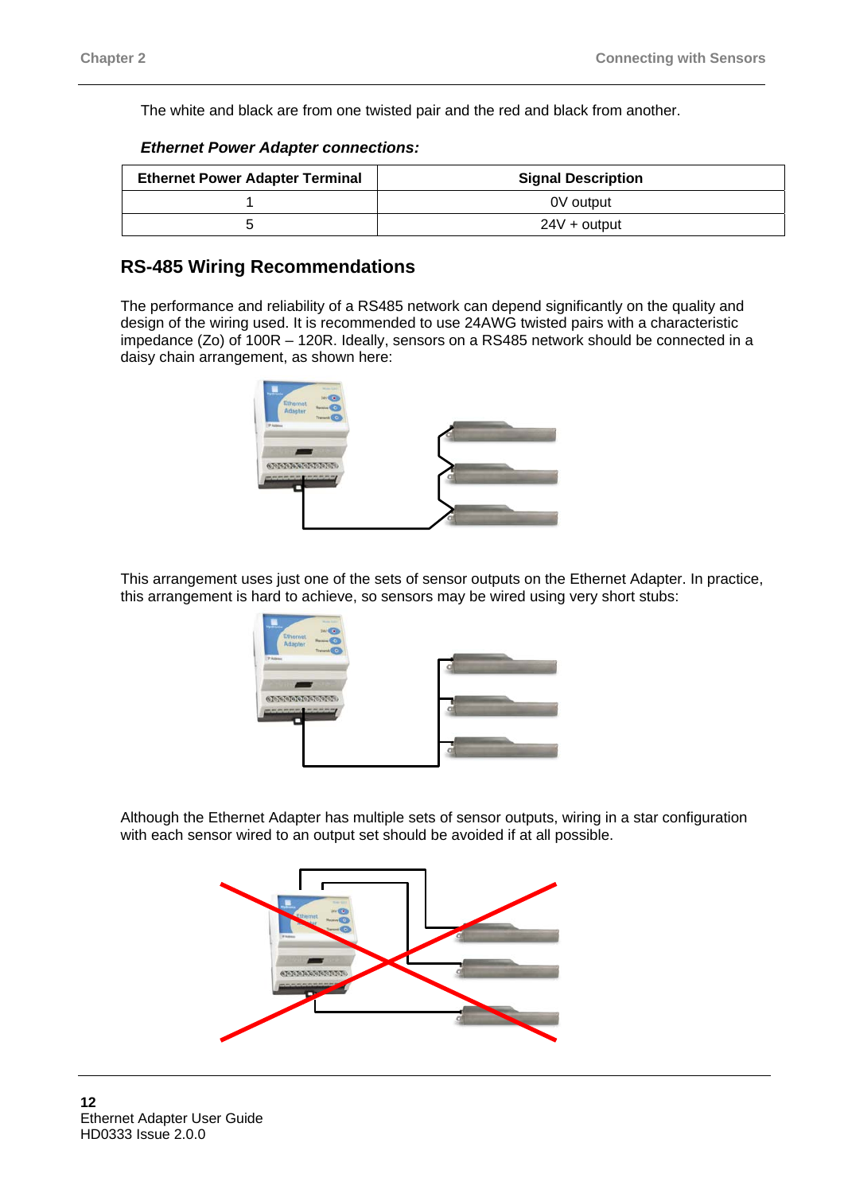The white and black are from one twisted pair and the red and black from another.

|  | <b>Ethernet Power Adapter connections:</b> |
|--|--------------------------------------------|
|--|--------------------------------------------|

| <b>Ethernet Power Adapter Terminal</b> | <b>Signal Description</b> |  |
|----------------------------------------|---------------------------|--|
|                                        | 0V output                 |  |
|                                        | $24V +$ output            |  |

## **RS-485 Wiring Recommendations**

The performance and reliability of a RS485 network can depend significantly on the quality and design of the wiring used. It is recommended to use 24AWG twisted pairs with a characteristic impedance (Zo) of 100R – 120R. Ideally, sensors on a RS485 network should be connected in a daisy chain arrangement, as shown here:



This arrangement uses just one of the sets of sensor outputs on the Ethernet Adapter. In practice, this arrangement is hard to achieve, so sensors may be wired using very short stubs:



Although the Ethernet Adapter has multiple sets of sensor outputs, wiring in a star configuration with each sensor wired to an output set should be avoided if at all possible.

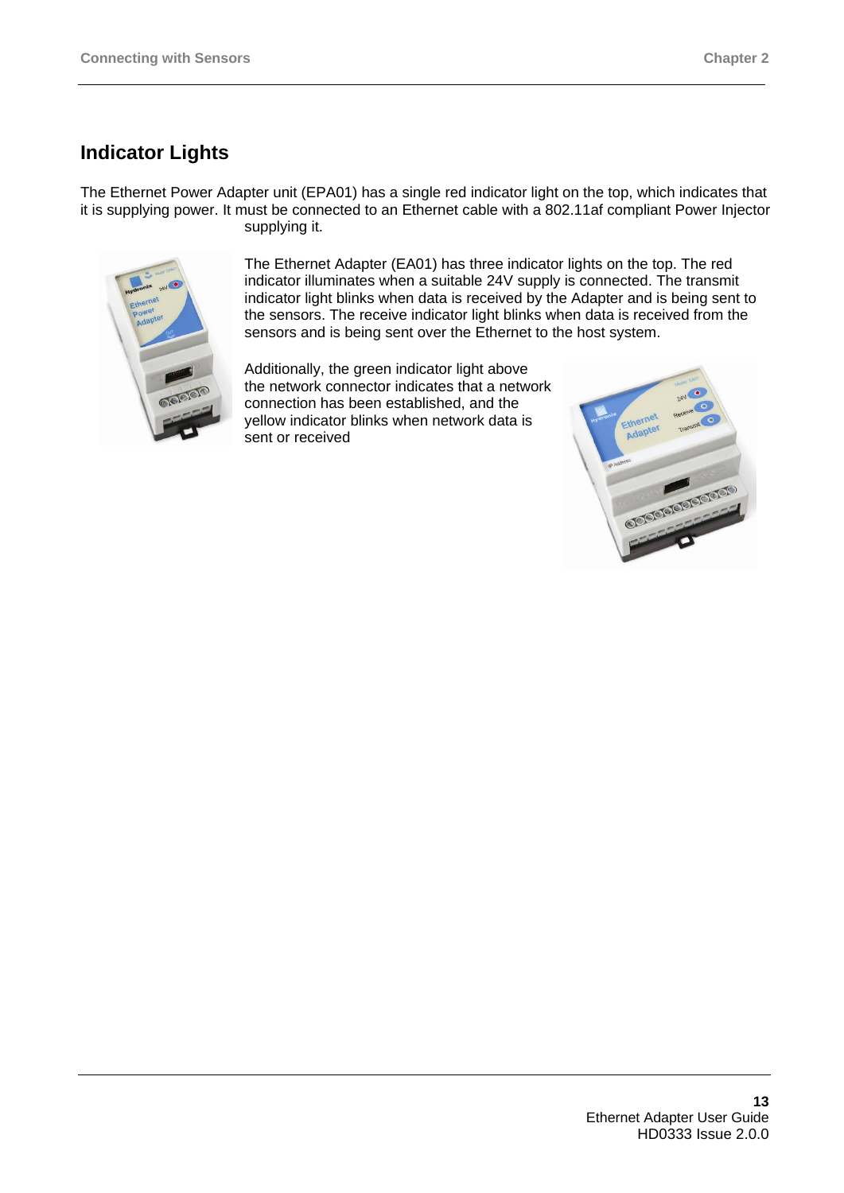# **Indicator Lights**

The Ethernet Power Adapter unit (EPA01) has a single red indicator light on the top, which indicates that it is supplying power. It must be connected to an Ethernet cable with a 802.11af compliant Power Injector supplying it.



The Ethernet Adapter (EA01) has three indicator lights on the top. The red indicator illuminates when a suitable 24V supply is connected. The transmit indicator light blinks when data is received by the Adapter and is being sent to the sensors. The receive indicator light blinks when data is received from the sensors and is being sent over the Ethernet to the host system.

Additionally, the green indicator light above the network connector indicates that a network connection has been established, and the yellow indicator blinks when network data is sent or received

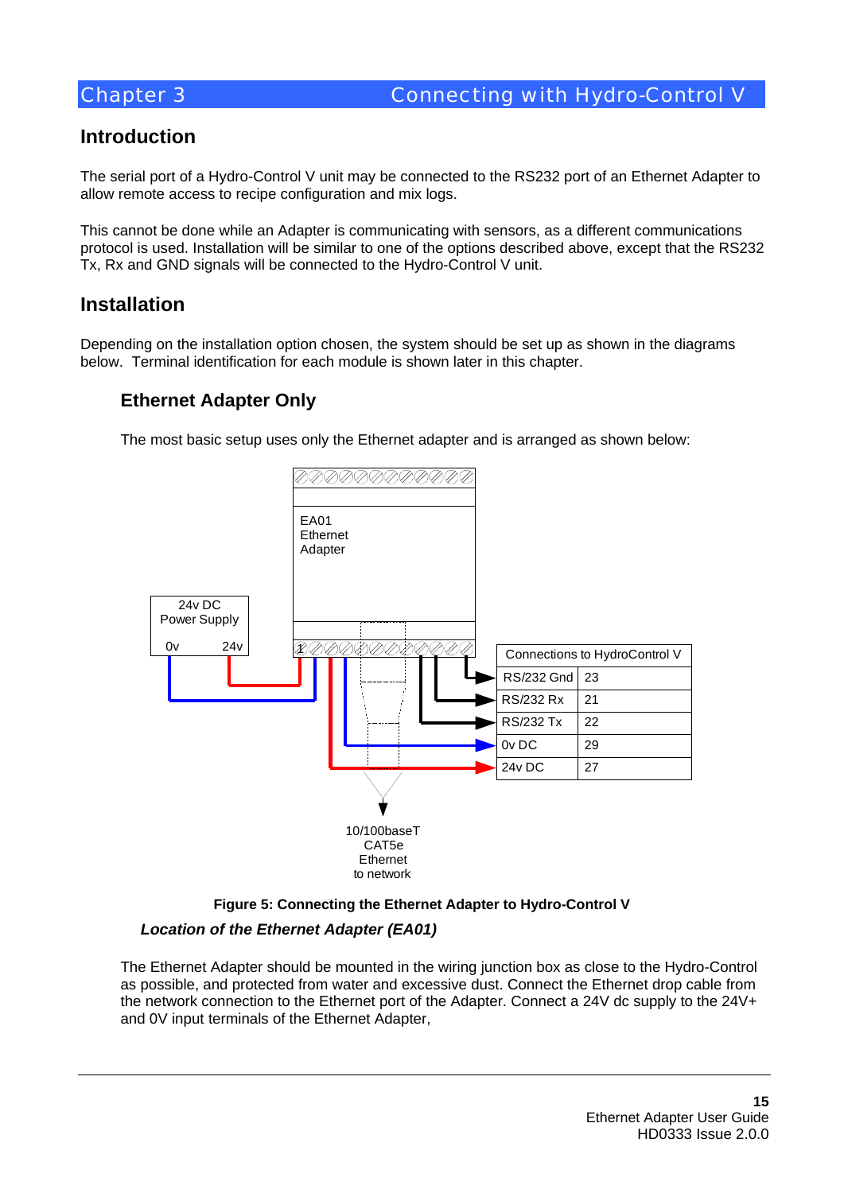## **Introduction**

The serial port of a Hydro-Control V unit may be connected to the RS232 port of an Ethernet Adapter to allow remote access to recipe configuration and mix logs.

This cannot be done while an Adapter is communicating with sensors, as a different communications protocol is used. Installation will be similar to one of the options described above, except that the RS232 Tx, Rx and GND signals will be connected to the Hydro-Control V unit.

## **Installation**

Depending on the installation option chosen, the system should be set up as shown in the diagrams below. Terminal identification for each module is shown later in this chapter.

## **Ethernet Adapter Only**

The most basic setup uses only the Ethernet adapter and is arranged as shown below:





## *Location of the Ethernet Adapter (EA01)*

The Ethernet Adapter should be mounted in the wiring junction box as close to the Hydro-Control as possible, and protected from water and excessive dust. Connect the Ethernet drop cable from the network connection to the Ethernet port of the Adapter. Connect a 24V dc supply to the 24V+ and 0V input terminals of the Ethernet Adapter,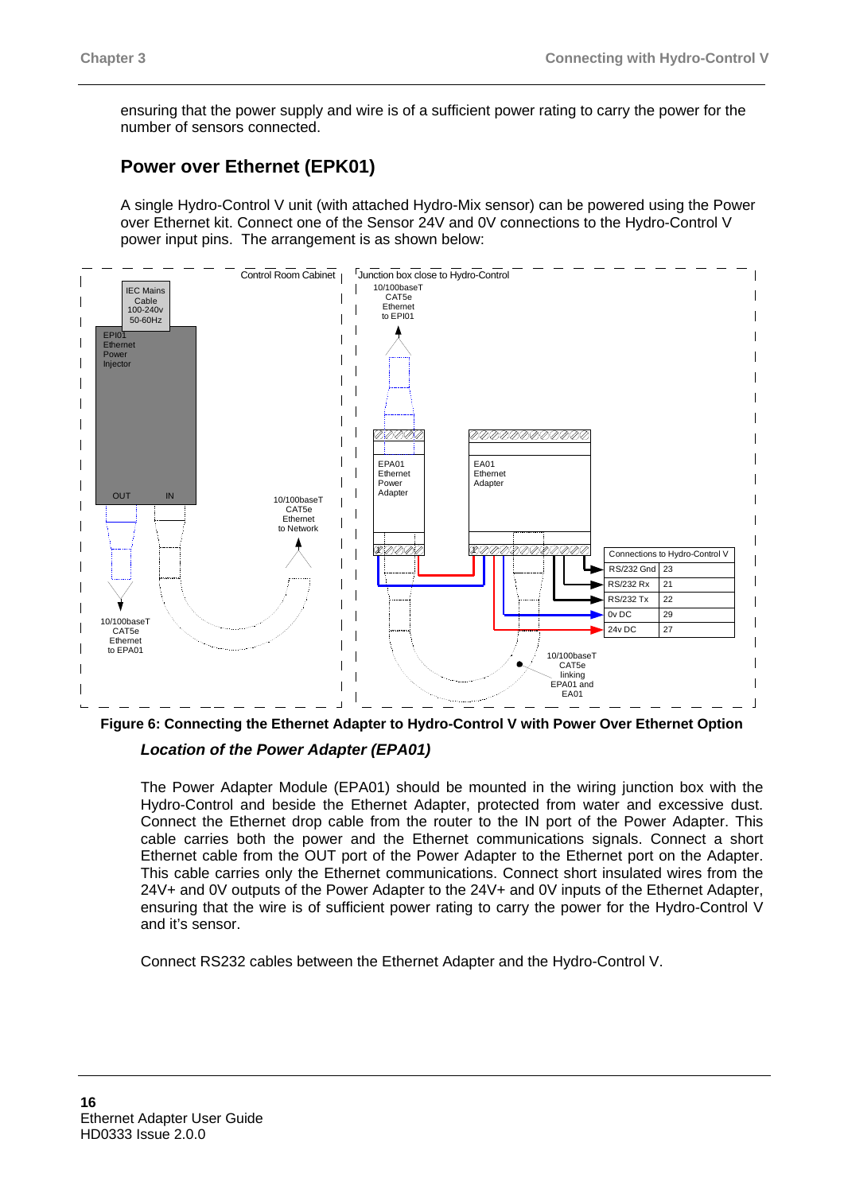ensuring that the power supply and wire is of a sufficient power rating to carry the power for the number of sensors connected.

## **Power over Ethernet (EPK01)**

A single Hydro-Control V unit (with attached Hydro-Mix sensor) can be powered using the Power over Ethernet kit. Connect one of the Sensor 24V and 0V connections to the Hydro-Control V power input pins. The arrangement is as shown below:



**Figure 6: Connecting the Ethernet Adapter to Hydro-Control V with Power Over Ethernet Option**  *Location of the Power Adapter (EPA01)* 

The Power Adapter Module (EPA01) should be mounted in the wiring junction box with the Hydro-Control and beside the Ethernet Adapter, protected from water and excessive dust. Connect the Ethernet drop cable from the router to the IN port of the Power Adapter. This cable carries both the power and the Ethernet communications signals. Connect a short Ethernet cable from the OUT port of the Power Adapter to the Ethernet port on the Adapter. This cable carries only the Ethernet communications. Connect short insulated wires from the 24V+ and 0V outputs of the Power Adapter to the 24V+ and 0V inputs of the Ethernet Adapter, ensuring that the wire is of sufficient power rating to carry the power for the Hydro-Control V and it's sensor.

Connect RS232 cables between the Ethernet Adapter and the Hydro-Control V.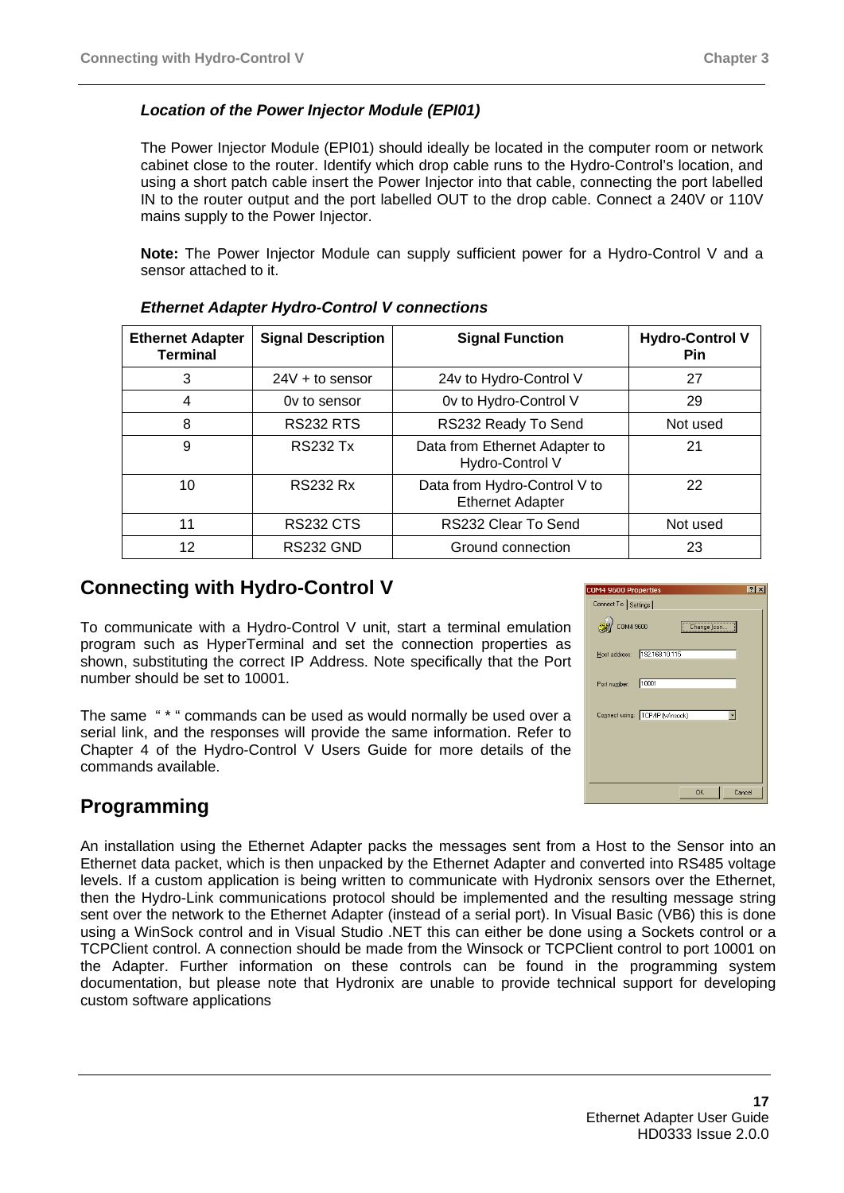### *Location of the Power Injector Module (EPI01)*

The Power Injector Module (EPI01) should ideally be located in the computer room or network cabinet close to the router. Identify which drop cable runs to the Hydro-Control's location, and using a short patch cable insert the Power Injector into that cable, connecting the port labelled IN to the router output and the port labelled OUT to the drop cable. Connect a 240V or 110V mains supply to the Power Injector.

**Note:** The Power Injector Module can supply sufficient power for a Hydro-Control V and a sensor attached to it.

| <b>Ethernet Adapter</b><br><b>Terminal</b> | <b>Signal Description</b> | <b>Signal Function</b>                                  | <b>Hydro-Control V</b><br><b>Pin</b> |
|--------------------------------------------|---------------------------|---------------------------------------------------------|--------------------------------------|
| 3                                          | $24V +$ to sensor         | 24v to Hydro-Control V                                  | 27                                   |
| 4                                          | Ov to sensor              | Ov to Hydro-Control V                                   | 29                                   |
| 8                                          | <b>RS232 RTS</b>          | RS232 Ready To Send                                     | Not used                             |
| 9                                          | <b>RS232 Tx</b>           | Data from Ethernet Adapter to<br>Hydro-Control V        | 21                                   |
| 10                                         | <b>RS232 Rx</b>           | Data from Hydro-Control V to<br><b>Ethernet Adapter</b> | 22                                   |
| 11                                         | <b>RS232 CTS</b>          | RS232 Clear To Send                                     | Not used                             |
| 12                                         | <b>RS232 GND</b>          | Ground connection                                       | 23                                   |

#### *Ethernet Adapter Hydro-Control V connections*

## **Connecting with Hydro-Control V**

To communicate with a Hydro-Control V unit, start a terminal emulation program such as HyperTerminal and set the connection properties as shown, substituting the correct IP Address. Note specifically that the Port number should be set to 10001.

The same " \* " commands can be used as would normally be used over a serial link, and the responses will provide the same information. Refer to Chapter 4 of the Hydro-Control V Users Guide for more details of the commands available.

# **Programming**

An installation using the Ethernet Adapter packs the messages sent from a Host to the Sensor into an Ethernet data packet, which is then unpacked by the Ethernet Adapter and converted into RS485 voltage levels. If a custom application is being written to communicate with Hydronix sensors over the Ethernet, then the Hydro-Link communications protocol should be implemented and the resulting message string sent over the network to the Ethernet Adapter (instead of a serial port). In Visual Basic (VB6) this is done using a WinSock control and in Visual Studio .NET this can either be done using a Sockets control or a TCPClient control. A connection should be made from the Winsock or TCPClient control to port 10001 on the Adapter. Further information on these controls can be found in the programming system documentation, but please note that Hydronix are unable to provide technical support for developing custom software applications

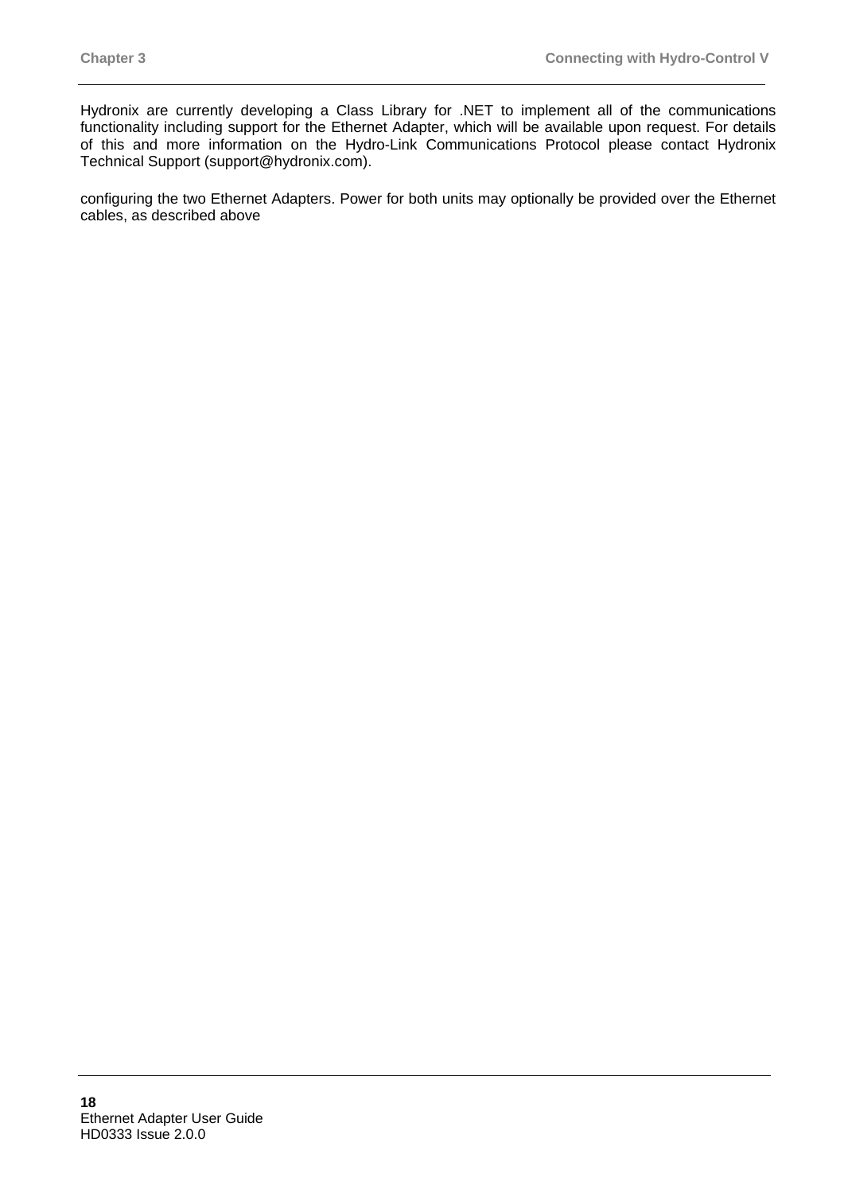Hydronix are currently developing a Class Library for .NET to implement all of the communications functionality including support for the Ethernet Adapter, which will be available upon request. For details of this and more information on the Hydro-Link Communications Protocol please contact Hydronix Technical Support (support@hydronix.com).

configuring the two Ethernet Adapters. Power for both units may optionally be provided over the Ethernet cables, as described above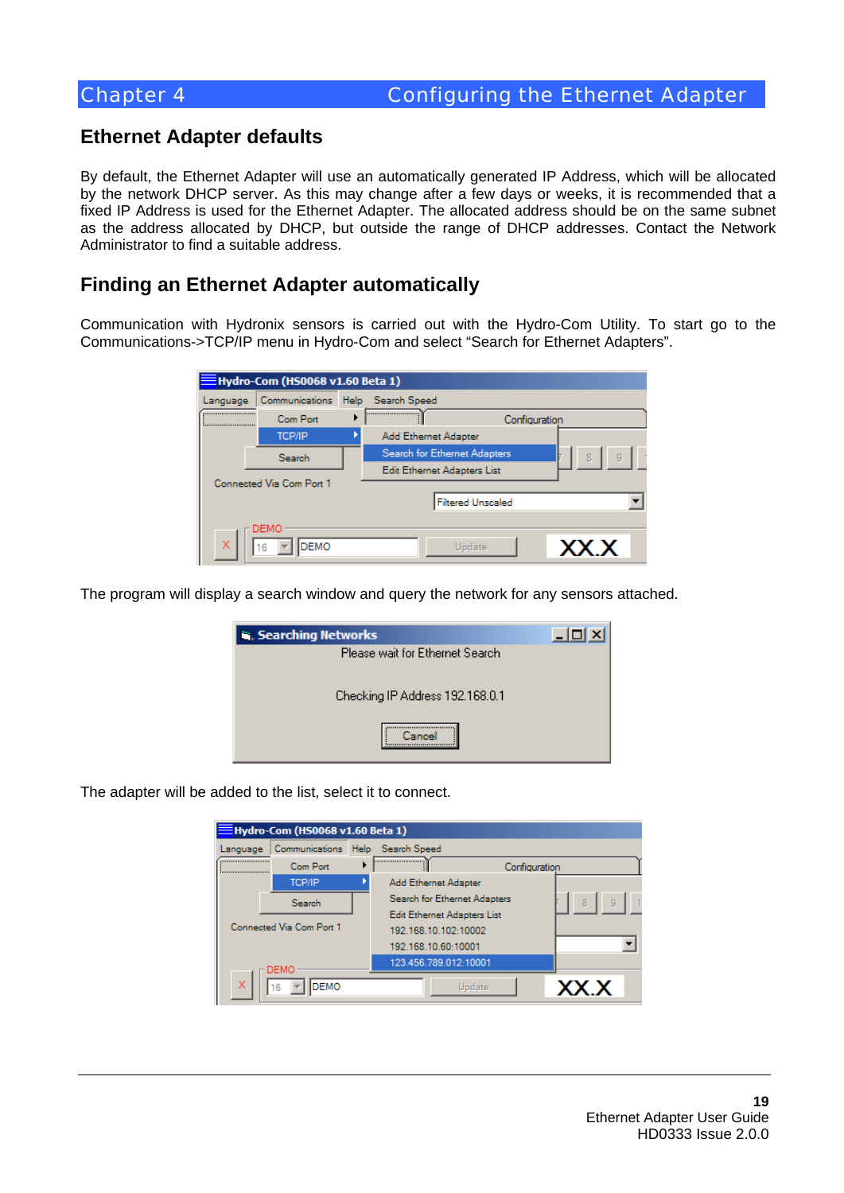## **Ethernet Adapter defaults**

By default, the Ethernet Adapter will use an automatically generated IP Address, which will be allocated by the network DHCP server. As this may change after a few days or weeks, it is recommended that a fixed IP Address is used for the Ethernet Adapter. The allocated address should be on the same subnet as the address allocated by DHCP, but outside the range of DHCP addresses. Contact the Network Administrator to find a suitable address.

## **Finding an Ethernet Adapter automatically**

Communication with Hydronix sensors is carried out with the Hydro-Com Utility. To start go to the Communications->TCP/IP menu in Hydro-Com and select "Search for Ethernet Adapters".

| $\equiv$ Hydro-Com (HS0068 v1.60 Beta 1) |                          |  |                              |               |  |  |
|------------------------------------------|--------------------------|--|------------------------------|---------------|--|--|
| Language                                 | Communications           |  | Help Search Speed            |               |  |  |
|                                          | Com Port                 |  |                              | Configuration |  |  |
|                                          | <b>TCP/IP</b>            |  | Add Ethernet Adapter         |               |  |  |
|                                          | Search                   |  | Search for Ethernet Adapters | 9<br>8        |  |  |
|                                          |                          |  | Edit Ethernet Adapters List  |               |  |  |
|                                          | Connected Via Com Port 1 |  |                              |               |  |  |
|                                          | <b>Filtered Unscaled</b> |  |                              |               |  |  |
| DEMO                                     |                          |  |                              |               |  |  |
| X                                        | <b>DEMO</b><br>16        |  | Update                       | XX.X          |  |  |

The program will display a search window and query the network for any sensors attached.

| Searching Networks               |  |
|----------------------------------|--|
| Please wait for Ethernet Search. |  |
| Checking IP Address 192.168.0.1  |  |
|                                  |  |

The adapter will be added to the list, select it to connect.

| $\equiv$ Hydro-Com (HS0068 v1.60 Beta 1) |                                  |  |                              |        |
|------------------------------------------|----------------------------------|--|------------------------------|--------|
| Language                                 | Communications Help Search Speed |  |                              |        |
| <br>                                     | Com Port                         |  | <br>Configuration            |        |
|                                          | <b>TCP/IP</b>                    |  | Add Ethernet Adapter         |        |
|                                          | Search                           |  | Search for Ethernet Adapters | 8<br>9 |
|                                          |                                  |  | Edit Ethernet Adapters List  |        |
|                                          | Connected Via Com Port 1         |  | 192.168.10.102:10002         |        |
|                                          |                                  |  | 192.168.10.60:10001          |        |
|                                          | DEMO                             |  | 123.456.789.012:10001        |        |
| х                                        | <b>DEMO</b><br>6                 |  | Update                       | XX X   |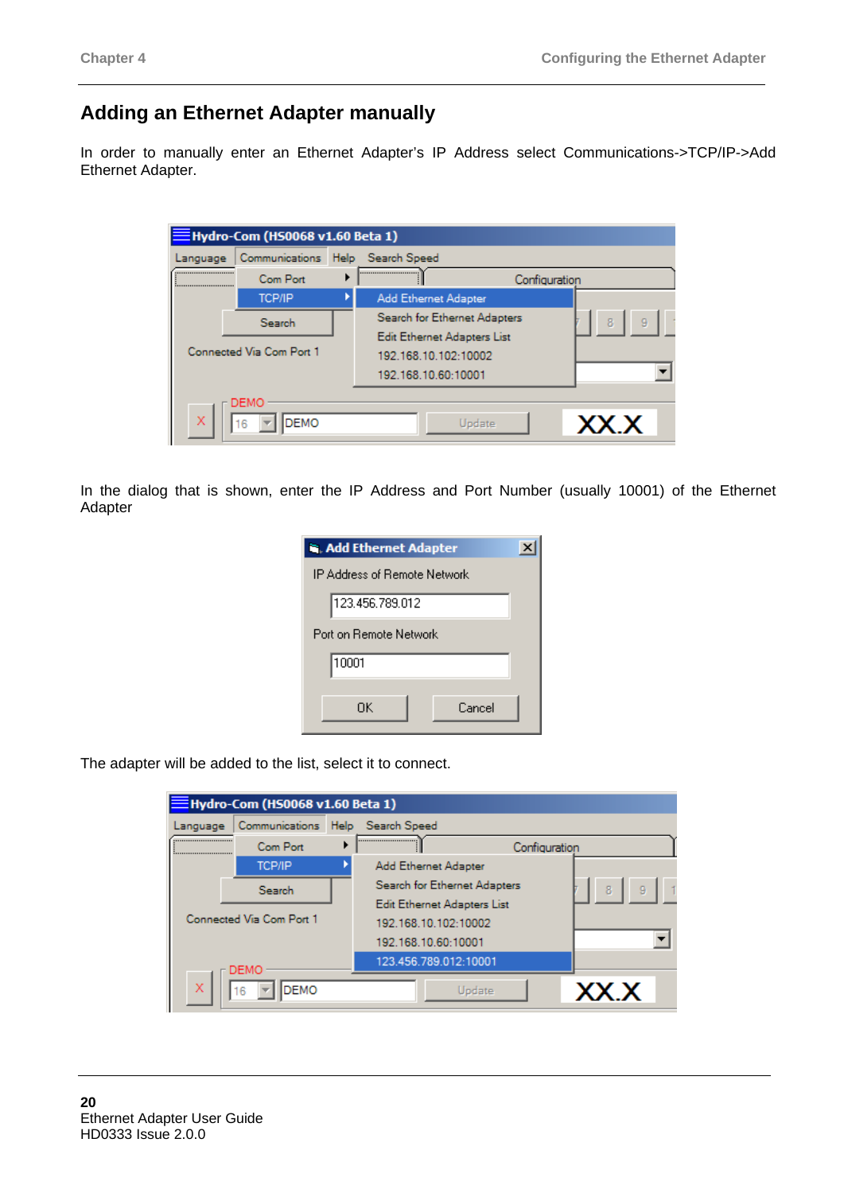# **Adding an Ethernet Adapter manually**

In order to manually enter an Ethernet Adapter's IP Address select Communications->TCP/IP->Add Ethernet Adapter.

| Hydro-Com (HS0068 v1.60 Beta 1) |                          |  |                              |               |  |  |
|---------------------------------|--------------------------|--|------------------------------|---------------|--|--|
| Language                        | Communications           |  | Help Search Speed            |               |  |  |
| <br>                            | Com Port                 |  |                              | Configuration |  |  |
|                                 | <b>TCP/IP</b>            |  | <b>Add Ethernet Adapter</b>  |               |  |  |
|                                 | Search                   |  | Search for Ethernet Adapters | 8<br>9        |  |  |
|                                 |                          |  | Edit Ethernet Adapters List  |               |  |  |
|                                 | Connected Via Com Port 1 |  | 192.168.10.102:10002         |               |  |  |
|                                 |                          |  | 192.168.10.60:10001          |               |  |  |
|                                 | <b>DEMO</b>              |  |                              |               |  |  |
| X                               | <b>DEMO</b><br>16        |  | Update                       | XX.X          |  |  |

In the dialog that is shown, enter the IP Address and Port Number (usually 10001) of the Ethernet Adapter

| <b>Na. Add Ethernet Adapter</b> |  |
|---------------------------------|--|
| IP Address of Remote Network    |  |
| 123.456.789.012                 |  |
| Port on Bemote Network          |  |
| 10001                           |  |
| Cancel<br>ΠK                    |  |

The adapter will be added to the list, select it to connect.

| $\equiv$ Hydro-Com (HS0068 v1.60 Beta 1) |                                  |  |                              |               |
|------------------------------------------|----------------------------------|--|------------------------------|---------------|
| Language                                 | Communications Help Search Speed |  |                              |               |
|                                          | Com Port                         |  |                              | Configuration |
|                                          | <b>TCP/IP</b>                    |  | Add Ethernet Adapter         |               |
|                                          | Search                           |  | Search for Ethernet Adapters | 9<br>8        |
|                                          |                                  |  | Edit Ethernet Adapters List  |               |
|                                          | Connected Via Com Port 1         |  | 192.168.10.102:10002         |               |
|                                          |                                  |  | 192.168.10.60:10001          |               |
|                                          | DEMO                             |  | 123.456.789.012:10001        |               |
| X                                        | DEMO<br>١ß                       |  | Update                       | XX.X          |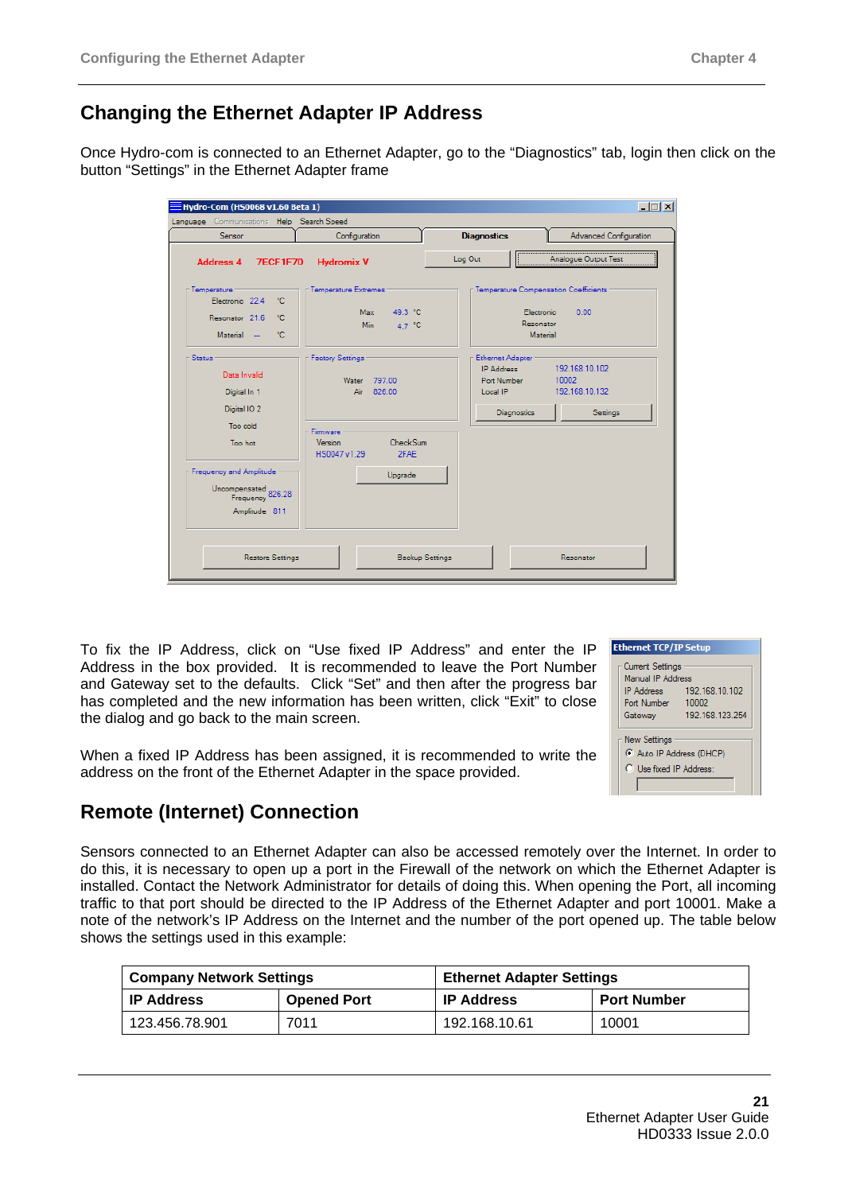# **Changing the Ethernet Adapter IP Address**

Once Hydro-com is connected to an Ethernet Adapter, go to the "Diagnostics" tab, login then click on the button "Settings" in the Ethernet Adapter frame

| Language Communications Help Search Speed                                                |                                                                                                                        |                                                                                 |                                                                           |
|------------------------------------------------------------------------------------------|------------------------------------------------------------------------------------------------------------------------|---------------------------------------------------------------------------------|---------------------------------------------------------------------------|
| Sensor                                                                                   | Configuration                                                                                                          | <b>Diagnostics</b>                                                              | <b>Advanced Configuration</b>                                             |
| <b>Address 4</b><br><b>7ECF1F70</b>                                                      | <b>Hydromix V</b>                                                                                                      | Log Out                                                                         | Analogue Output Test                                                      |
| Temperature :<br>Electronic 22.4<br>٠c<br>Resonator 21.6<br>۰c                           | <b>Temperature Extremes</b><br>Max 49.3 °C<br><b>Min</b><br>4.7 °C                                                     |                                                                                 | Temperature Compensation Coefficients:<br>0.00<br>Electronic<br>Resonator |
| Material -<br>۰c                                                                         |                                                                                                                        |                                                                                 | Material                                                                  |
| Status<br>Data Invalid<br>Digital In 1<br>Digital IO <sub>2</sub><br>Too cold<br>Too hot | <b>Factory Settings</b><br>Water<br>797.00<br>826.00<br>Air<br>Firmware<br>CheckSum<br>Version<br>HS0047 v1.29<br>2FAE | Ethernet Adapter<br><b>IP Address</b><br>Port Number<br>Local IP<br>Diagnostics | 192.168.10.102<br>10002<br>192.168.10.132<br>Settings                     |
| Frequency and Amplitude<br>Uncompensated<br>Frequency 826.28<br>Amplitude 811            | Upgrade                                                                                                                |                                                                                 |                                                                           |
| <b>Restore Settings</b>                                                                  | <b>Backup Settings</b>                                                                                                 |                                                                                 | Resonator                                                                 |

To fix the IP Address, click on "Use fixed IP Address" and enter the IP Address in the box provided. It is recommended to leave the Port Number and Gateway set to the defaults. Click "Set" and then after the progress bar has completed and the new information has been written, click "Exit" to close the dialog and go back to the main screen.

When a fixed IP Address has been assigned, it is recommended to write the address on the front of the Ethernet Adapter in the space provided.

#### **Ethernet TCP/IP Setup** Current Settings Manual IP Address 192.168.10.102 **IP Address** Port Number 10002 Gateway 192.168.123.254 **New Settings** C Auto IP Address (DHCP) C Use fixed IP Address:

# **Remote (Internet) Connection**

Sensors connected to an Ethernet Adapter can also be accessed remotely over the Internet. In order to do this, it is necessary to open up a port in the Firewall of the network on which the Ethernet Adapter is installed. Contact the Network Administrator for details of doing this. When opening the Port, all incoming traffic to that port should be directed to the IP Address of the Ethernet Adapter and port 10001. Make a note of the network's IP Address on the Internet and the number of the port opened up. The table below shows the settings used in this example:

| <b>Company Network Settings</b> |                    | <b>Ethernet Adapter Settings</b> |                    |
|---------------------------------|--------------------|----------------------------------|--------------------|
| <b>IP Address</b>               | <b>Opened Port</b> | ∣ IP Address                     | <b>Port Number</b> |
| 123.456.78.901                  | 7011               | 192.168.10.61                    | 10001              |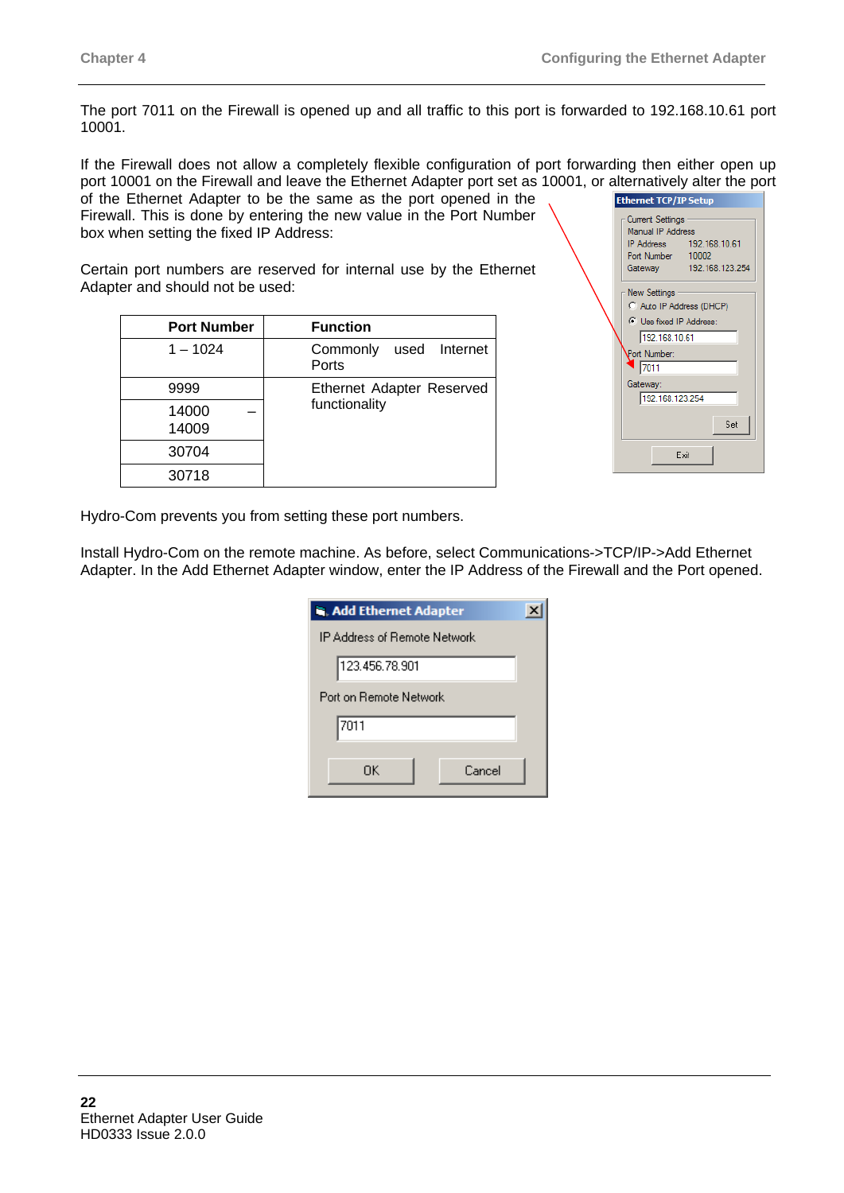The port 7011 on the Firewall is opened up and all traffic to this port is forwarded to 192.168.10.61 port 10001.

If the Firewall does not allow a completely flexible configuration of port forwarding then either open up port 10001 on the Firewall and leave the Ethernet Adapter port set as 10001, or alternatively alter the port of the Ethernet Adapter to be the same as the port opened in the

Firewall. This is done by entering the new value in the Port Number box when setting the fixed IP Address:

Certain port numbers are reserved for internal use by the Ethernet Adapter and should not be used:

| <b>Port Number</b> | <b>Function</b>                    |
|--------------------|------------------------------------|
| $1 - 1024$         | Commonly<br>used Internet<br>Ports |
| 9999               | <b>Ethernet Adapter Reserved</b>   |
| 14000<br>14009     | functionality                      |
| 30704              |                                    |
| 30718              |                                    |

| <b>Ethernet TCP/IP Setup</b>                                                                                                                        |
|-----------------------------------------------------------------------------------------------------------------------------------------------------|
| <b>Current Settings</b><br>Manual IP Address<br>IP Address 192.168.10.61<br>Port Number 10002<br>192.168.123.254<br>Gateway                         |
| New Settings<br>C Auto IP Address (DHCP)<br>C Use fixed IP Address:<br>192.168.10.61<br>Port Number:<br>17011<br>Gateway:<br>192.168.123.254<br>Set |
| Exit                                                                                                                                                |

Hydro-Com prevents you from setting these port numbers.

Install Hydro-Com on the remote machine. As before, select Communications->TCP/IP->Add Ethernet Adapter. In the Add Ethernet Adapter window, enter the IP Address of the Firewall and the Port opened.

| <b>In. Add Ethernet Adapter</b> |  |
|---------------------------------|--|
| IP Address of Remote Network    |  |
| 123.456.78.901                  |  |
| Port on Bemote Network          |  |
| 7011                            |  |
| Cancel<br>ΠK                    |  |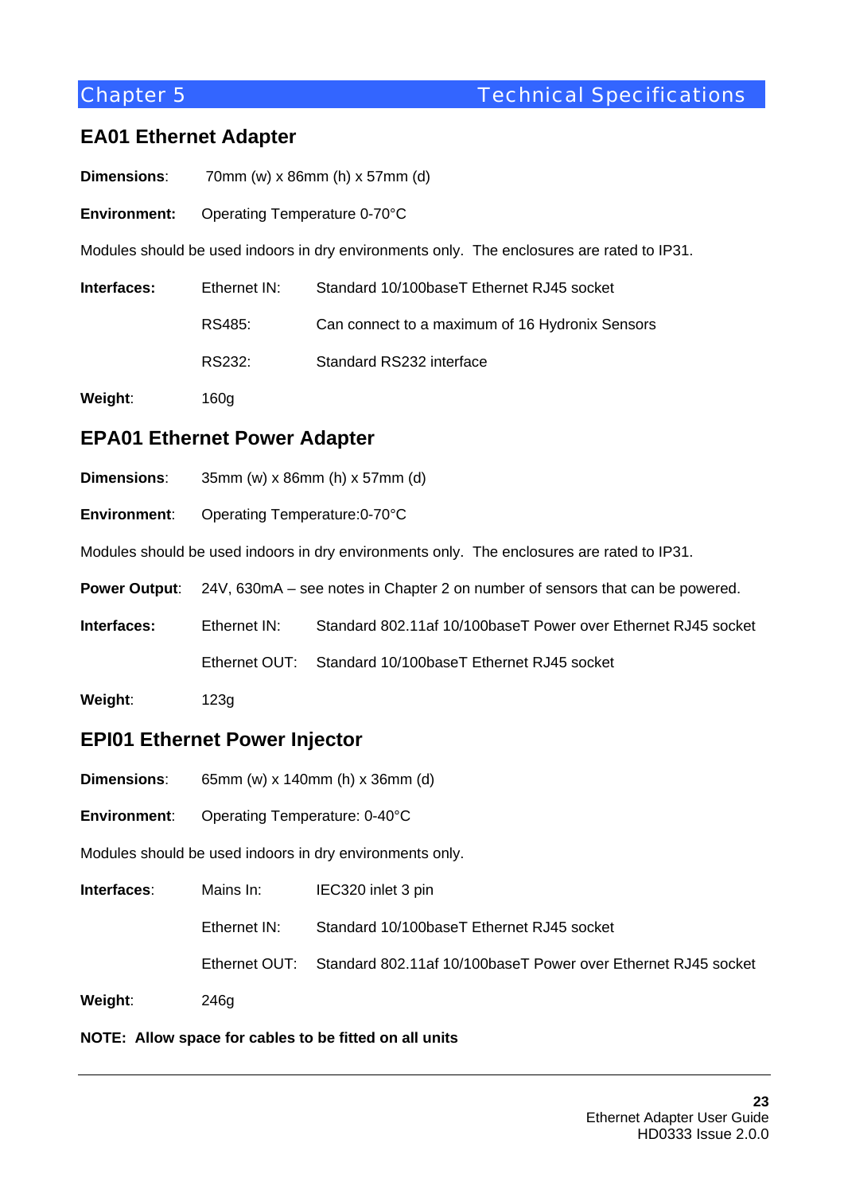## **EA01 Ethernet Adapter**

- **Dimensions**: 70mm (w) x 86mm (h) x 57mm (d)
- **Environment:** Operating Temperature 0-70°C

Modules should be used indoors in dry environments only. The enclosures are rated to IP31.

| Interfaces: | Ethernet IN: | Standard 10/100baseT Ethernet RJ45 socket       |
|-------------|--------------|-------------------------------------------------|
|             | RS485:       | Can connect to a maximum of 16 Hydronix Sensors |
|             | RS232:       | Standard RS232 interface                        |
| Weight:     | 160a         |                                                 |

- **EPA01 Ethernet Power Adapter**
- **Dimensions**: 35mm (w) x 86mm (h) x 57mm (d)
- **Environment**: Operating Temperature:0-70°C

Modules should be used indoors in dry environments only. The enclosures are rated to IP31.

**Power Output**: 24V, 630mA – see notes in Chapter 2 on number of sensors that can be powered.

**Interfaces:** Ethernet IN: Standard 802.11af 10/100baseT Power over Ethernet RJ45 socket

Ethernet OUT: Standard 10/100baseT Ethernet RJ45 socket

**Weight**: 123g

## **EPI01 Ethernet Power Injector**

- **Dimensions**: 65mm (w) x 140mm (h) x 36mm (d)
- **Environment**: Operating Temperature: 0-40°C

Modules should be used indoors in dry environments only.

| Interfaces: | Mains In:    | IEC320 inlet 3 pin                                                          |
|-------------|--------------|-----------------------------------------------------------------------------|
|             | Ethernet IN: | Standard 10/100baseT Ethernet RJ45 socket                                   |
|             |              | Ethernet OUT: Standard 802.11af 10/100baseT Power over Ethernet RJ45 socket |
| Weight:     | 246g         |                                                                             |

## **NOTE: Allow space for cables to be fitted on all units**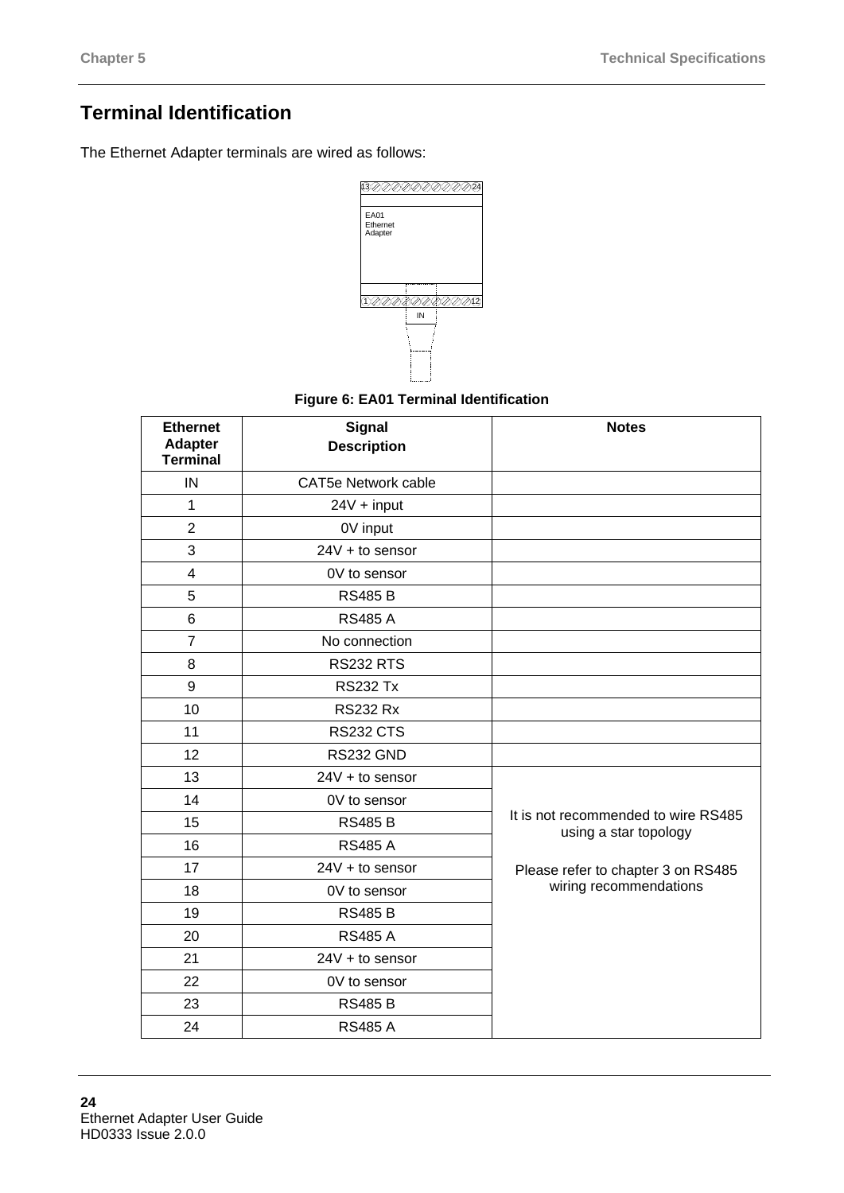# **Terminal Identification**

The Ethernet Adapter terminals are wired as follows:



## **Figure 6: EA01 Terminal Identification**

| <b>Ethernet</b><br><b>Adapter</b><br><b>Terminal</b> | <b>Signal</b><br><b>Description</b> | <b>Notes</b>                                                 |
|------------------------------------------------------|-------------------------------------|--------------------------------------------------------------|
| IN                                                   | <b>CAT5e Network cable</b>          |                                                              |
| $\mathbf{1}$                                         | $24V + input$                       |                                                              |
| $\overline{2}$                                       | 0V input                            |                                                              |
| 3                                                    | $24V + to sensor$                   |                                                              |
| $\overline{4}$                                       | 0V to sensor                        |                                                              |
| 5                                                    | <b>RS485 B</b>                      |                                                              |
| 6                                                    | <b>RS485 A</b>                      |                                                              |
| $\overline{7}$                                       | No connection                       |                                                              |
| 8                                                    | <b>RS232 RTS</b>                    |                                                              |
| 9                                                    | <b>RS232 Tx</b>                     |                                                              |
| 10                                                   | <b>RS232 Rx</b>                     |                                                              |
| 11                                                   | <b>RS232 CTS</b>                    |                                                              |
| 12                                                   | RS232 GND                           |                                                              |
| 13                                                   | $24V + to$ sensor                   |                                                              |
| 14                                                   | 0V to sensor                        |                                                              |
| 15                                                   | <b>RS485 B</b>                      | It is not recommended to wire RS485<br>using a star topology |
| 16                                                   | <b>RS485 A</b>                      |                                                              |
| 17                                                   | $24V + to$ sensor                   | Please refer to chapter 3 on RS485                           |
| 18                                                   | 0V to sensor                        | wiring recommendations                                       |
| 19                                                   | <b>RS485 B</b>                      |                                                              |
| 20                                                   | <b>RS485 A</b>                      |                                                              |
| 21                                                   | $24V + to$ sensor                   |                                                              |
| 22                                                   | 0V to sensor                        |                                                              |
| 23                                                   | <b>RS485 B</b>                      |                                                              |
| 24                                                   | <b>RS485 A</b>                      |                                                              |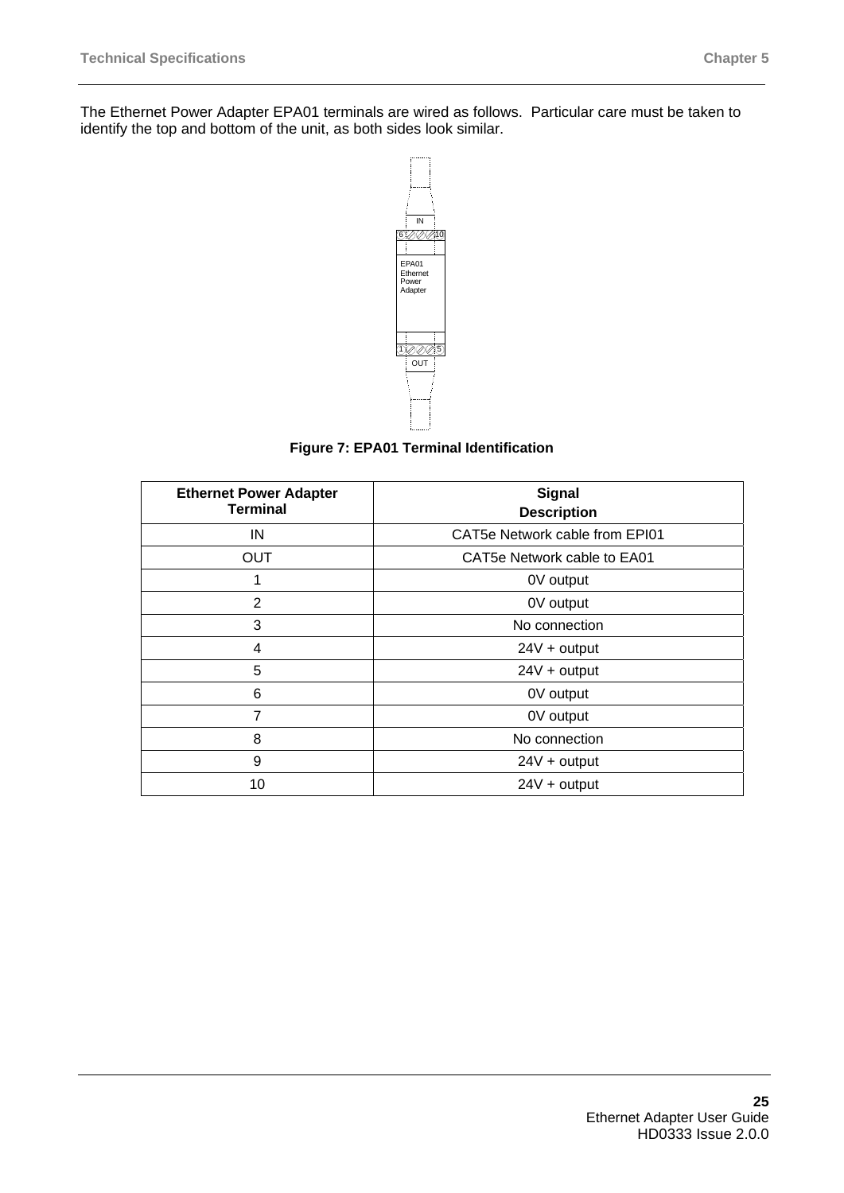

**Figure 7: EPA01 Terminal Identification** 

| <b>Ethernet Power Adapter</b><br><b>Terminal</b> | <b>Signal</b><br><b>Description</b> |
|--------------------------------------------------|-------------------------------------|
| IN                                               | CAT5e Network cable from EPI01      |
| <b>OUT</b>                                       | CAT5e Network cable to EA01         |
| 1                                                | 0V output                           |
| 2                                                | 0V output                           |
| 3                                                | No connection                       |
| 4                                                | $24V + output$                      |
| 5                                                | $24V +$ output                      |
| 6                                                | 0V output                           |
| 7                                                | 0V output                           |
| 8                                                | No connection                       |
| 9                                                | $24V +$ output                      |
| 10                                               | $24V +$ output                      |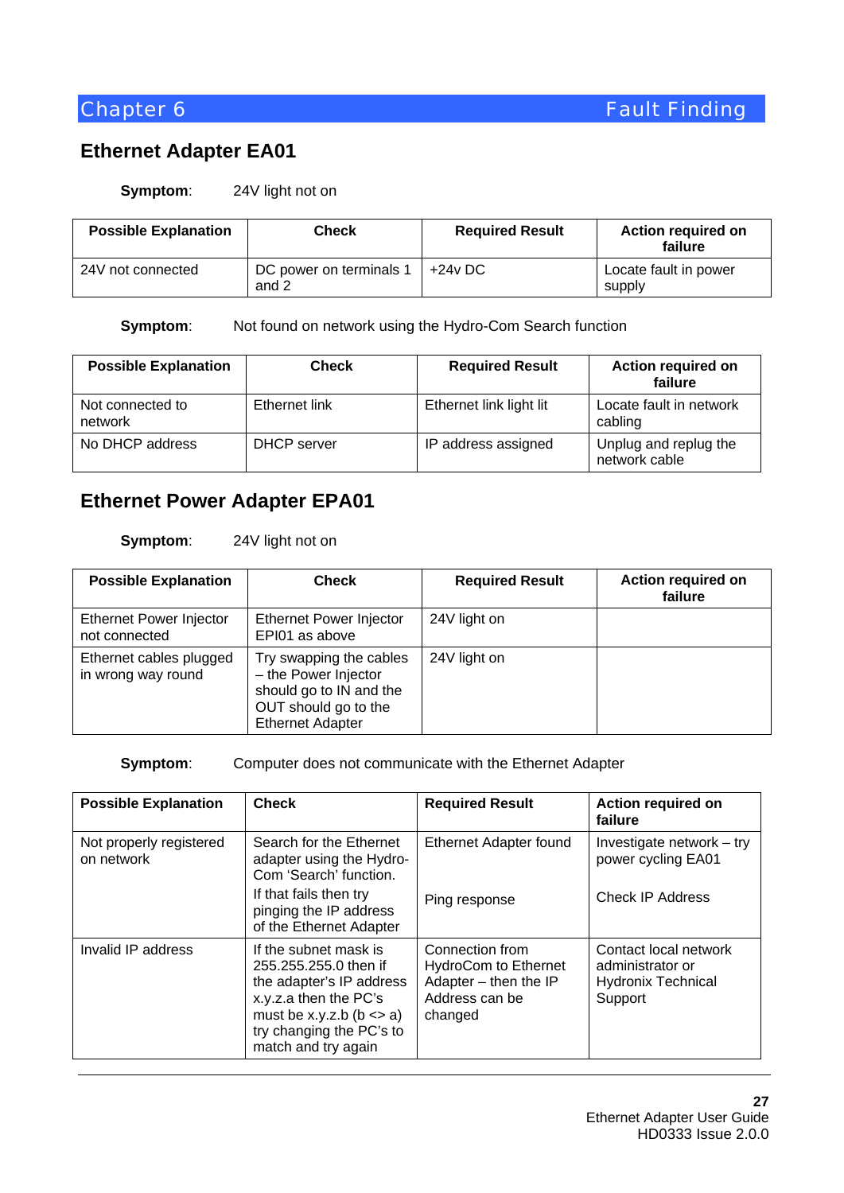# **Ethernet Adapter EA01**

#### **Symptom**: 24V light not on

| <b>Possible Explanation</b> | Check                            | <b>Required Result</b> | <b>Action required on</b><br>failure |
|-----------------------------|----------------------------------|------------------------|--------------------------------------|
| 24V not connected           | DC power on terminals 1<br>and 2 | $+24v$ DC              | Locate fault in power<br>supply      |

**Symptom:** Not found on network using the Hydro-Com Search function

| <b>Possible Explanation</b> | <b>Check</b>  | <b>Required Result</b>  | <b>Action required on</b><br>failure   |
|-----------------------------|---------------|-------------------------|----------------------------------------|
| Not connected to<br>network | Ethernet link | Ethernet link light lit | Locate fault in network<br>cabling     |
| No DHCP address             | DHCP server   | IP address assigned     | Unplug and replug the<br>network cable |

## **Ethernet Power Adapter EPA01**

### **Symptom**: 24V light not on

| <b>Possible Explanation</b>                     | <b>Check</b>                                                                                                                  | <b>Required Result</b> | <b>Action required on</b><br>failure |
|-------------------------------------------------|-------------------------------------------------------------------------------------------------------------------------------|------------------------|--------------------------------------|
| <b>Ethernet Power Injector</b><br>not connected | <b>Ethernet Power Injector</b><br>EPI01 as above                                                                              | 24V light on           |                                      |
| Ethernet cables plugged<br>in wrong way round   | Try swapping the cables<br>- the Power Injector<br>should go to IN and the<br>OUT should go to the<br><b>Ethernet Adapter</b> | 24V light on           |                                      |

#### **Symptom:** Computer does not communicate with the Ethernet Adapter

| <b>Possible Explanation</b>           | <b>Check</b>                                                                                                                                                                            | <b>Required Result</b>                                                                               | <b>Action required on</b><br>failure                                              |
|---------------------------------------|-----------------------------------------------------------------------------------------------------------------------------------------------------------------------------------------|------------------------------------------------------------------------------------------------------|-----------------------------------------------------------------------------------|
| Not properly registered<br>on network | Search for the Ethernet<br>adapter using the Hydro-<br>Com 'Search' function.                                                                                                           | Ethernet Adapter found                                                                               | Investigate network – try<br>power cycling EA01                                   |
|                                       | If that fails then try<br>pinging the IP address<br>of the Ethernet Adapter                                                                                                             | Ping response                                                                                        | <b>Check IP Address</b>                                                           |
| Invalid IP address                    | If the subnet mask is<br>255.255.255.0 then if<br>the adapter's IP address<br>x.y.z.a then the PC's<br>must be x.y.z.b ( $b \le a$ )<br>try changing the PC's to<br>match and try again | Connection from<br><b>HydroCom to Ethernet</b><br>Adapter - then the IP<br>Address can be<br>changed | Contact local network<br>administrator or<br><b>Hydronix Technical</b><br>Support |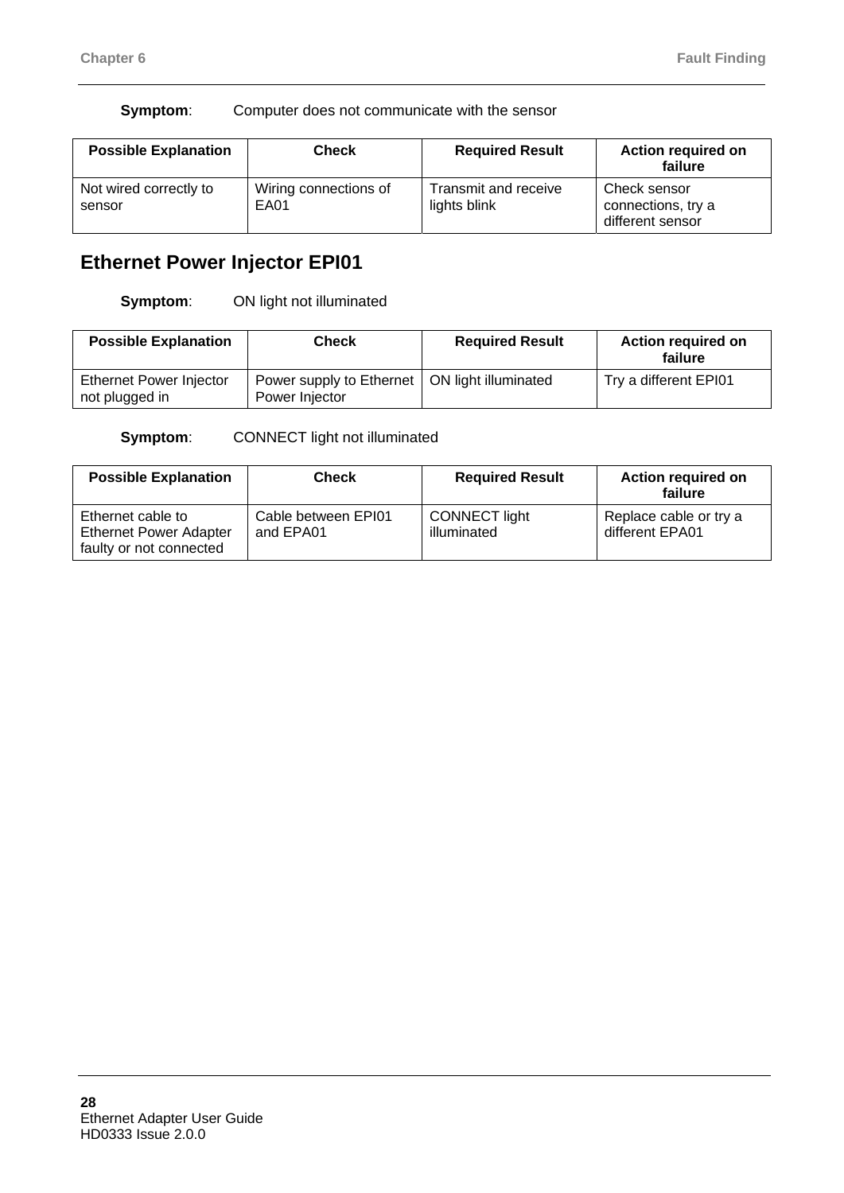### **Symptom:** Computer does not communicate with the sensor

| <b>Possible Explanation</b>      | <b>Check</b>                  | <b>Required Result</b>               | <b>Action required on</b><br>failure                   |
|----------------------------------|-------------------------------|--------------------------------------|--------------------------------------------------------|
| Not wired correctly to<br>sensor | Wiring connections of<br>EA01 | Transmit and receive<br>lights blink | Check sensor<br>connections, try a<br>different sensor |

# **Ethernet Power Injector EPI01**

**Symptom**: ON light not illuminated

| <b>Possible Explanation</b>                      | Check                                      | <b>Required Result</b> | <b>Action required on</b><br>failure |
|--------------------------------------------------|--------------------------------------------|------------------------|--------------------------------------|
| <b>Ethernet Power Injector</b><br>not plugged in | Power supply to Ethernet<br>Power Injector | ON light illuminated   | Try a different EPI01                |

**Symptom:** CONNECT light not illuminated

| <b>Possible Explanation</b>                                                   | <b>Check</b>                     | <b>Required Result</b>              | <b>Action required on</b><br>failure      |
|-------------------------------------------------------------------------------|----------------------------------|-------------------------------------|-------------------------------------------|
| Ethernet cable to<br><b>Ethernet Power Adapter</b><br>faulty or not connected | Cable between EPI01<br>and EPA01 | <b>CONNECT light</b><br>illuminated | Replace cable or try a<br>different EPA01 |